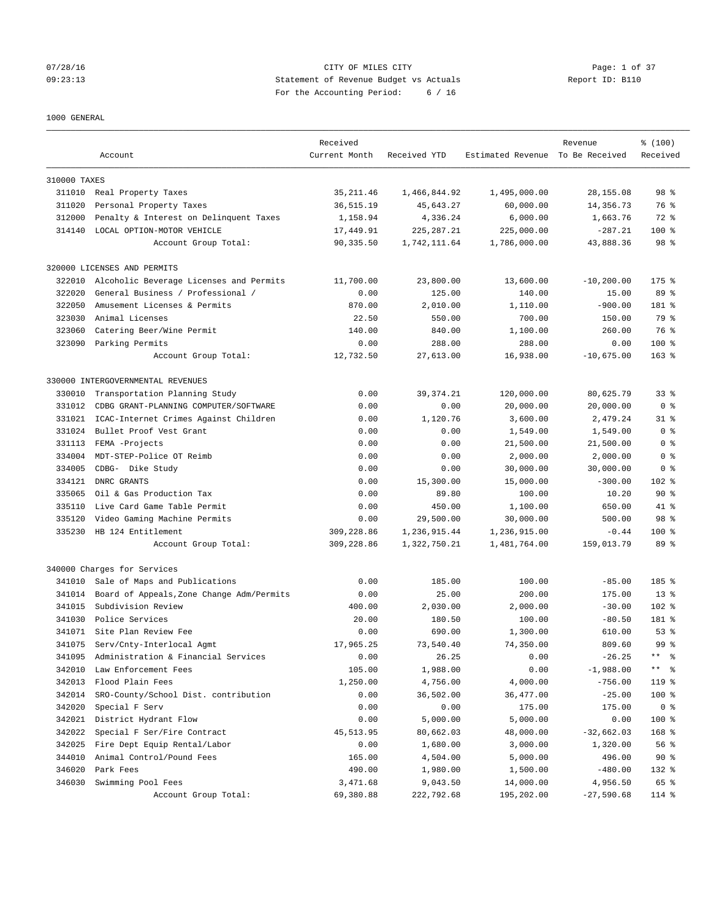#### 07/28/16 Page: 1 of 37 09:23:13 Statement of Revenue Budget vs Actuals Report ID: B110 For the Accounting Period: 6 / 16

## 1000 GENERAL

|              | Account                                   | Received<br>Current Month | Received YTD | Estimated Revenue To Be Received | Revenue       | % (100)<br>Received |
|--------------|-------------------------------------------|---------------------------|--------------|----------------------------------|---------------|---------------------|
|              |                                           |                           |              |                                  |               |                     |
| 310000 TAXES |                                           |                           |              |                                  |               |                     |
|              | 311010 Real Property Taxes                | 35, 211.46                | 1,466,844.92 | 1,495,000.00                     | 28, 155.08    | 98 <sup>8</sup>     |
| 311020       | Personal Property Taxes                   | 36, 515.19                | 45,643.27    | 60,000.00                        | 14, 356.73    | 76 %                |
| 312000       | Penalty & Interest on Delinquent Taxes    | 1,158.94                  | 4,336.24     | 6,000.00                         | 1,663.76      | 72 %                |
| 314140       | LOCAL OPTION-MOTOR VEHICLE                | 17,449.91                 | 225, 287.21  | 225,000.00                       | $-287.21$     | $100$ %             |
|              | Account Group Total:                      | 90,335.50                 | 1,742,111.64 | 1,786,000.00                     | 43,888.36     | 98 %                |
|              | 320000 LICENSES AND PERMITS               |                           |              |                                  |               |                     |
| 322010       | Alcoholic Beverage Licenses and Permits   | 11,700.00                 | 23,800.00    | 13,600.00                        | $-10, 200.00$ | $175$ %             |
| 322020       | General Business / Professional /         | 0.00                      | 125.00       | 140.00                           | 15.00         | 89 %                |
| 322050       | Amusement Licenses & Permits              | 870.00                    | 2,010.00     | 1,110.00                         | $-900.00$     | 181 %               |
| 323030       | Animal Licenses                           | 22.50                     | 550.00       | 700.00                           | 150.00        | 79 %                |
| 323060       | Catering Beer/Wine Permit                 | 140.00                    | 840.00       | 1,100.00                         | 260.00        | 76 %                |
| 323090       | Parking Permits                           | 0.00                      | 288.00       | 288.00                           | 0.00          | $100$ %             |
|              | Account Group Total:                      | 12,732.50                 | 27,613.00    | 16,938.00                        | $-10,675.00$  | $163$ %             |
|              |                                           |                           |              |                                  |               |                     |
|              | 330000 INTERGOVERNMENTAL REVENUES         |                           |              |                                  |               |                     |
| 330010       | Transportation Planning Study             | 0.00                      | 39, 374. 21  | 120,000.00                       | 80,625.79     | 33 <sup>8</sup>     |
| 331012       | CDBG GRANT-PLANNING COMPUTER/SOFTWARE     | 0.00                      | 0.00         | 20,000.00                        | 20,000.00     | 0 <sup>8</sup>      |
| 331021       | ICAC-Internet Crimes Against Children     | 0.00                      | 1,120.76     | 3,600.00                         | 2,479.24      | $31$ $8$            |
| 331024       | Bullet Proof Vest Grant                   | 0.00                      | 0.00         | 1,549.00                         | 1,549.00      | 0 <sup>8</sup>      |
| 331113       | FEMA -Projects                            | 0.00                      | 0.00         | 21,500.00                        | 21,500.00     | 0 %                 |
| 334004       | MDT-STEP-Police OT Reimb                  | 0.00                      | 0.00         | 2,000.00                         | 2,000.00      | 0 <sup>8</sup>      |
| 334005       | CDBG- Dike Study                          | 0.00                      | 0.00         | 30,000.00                        | 30,000.00     | 0 <sup>8</sup>      |
| 334121       | DNRC GRANTS                               | 0.00                      | 15,300.00    | 15,000.00                        | $-300.00$     | 102 %               |
| 335065       | Oil & Gas Production Tax                  | 0.00                      | 89.80        | 100.00                           | 10.20         | $90*$               |
| 335110       | Live Card Game Table Permit               | 0.00                      | 450.00       | 1,100.00                         | 650.00        | $41*$               |
| 335120       | Video Gaming Machine Permits              | 0.00                      | 29,500.00    | 30,000.00                        | 500.00        | 98 %                |
| 335230       | HB 124 Entitlement                        | 309,228.86                | 1,236,915.44 | 1,236,915.00                     | $-0.44$       | $100$ %             |
|              | Account Group Total:                      | 309,228.86                | 1,322,750.21 | 1,481,764.00                     | 159,013.79    | 89 %                |
|              | 340000 Charges for Services               |                           |              |                                  |               |                     |
| 341010       | Sale of Maps and Publications             | 0.00                      | 185.00       | 100.00                           | $-85.00$      | 185 %               |
| 341014       | Board of Appeals, Zone Change Adm/Permits | 0.00                      | 25.00        | 200.00                           | 175.00        | $13*$               |
| 341015       | Subdivision Review                        | 400.00                    | 2,030.00     | 2,000.00                         | $-30.00$      | 102 %               |
| 341030       | Police Services                           | 20.00                     | 180.50       | 100.00                           | $-80.50$      | 181 %               |
| 341071       | Site Plan Review Fee                      | 0.00                      | 690.00       | 1,300.00                         | 610.00        | 53%                 |
| 341075       | Serv/Cnty-Interlocal Agmt                 | 17,965.25                 | 73,540.40    | 74,350.00                        | 809.60        | 99 <sup>8</sup>     |
| 341095       | Administration & Financial Services       | 0.00                      | 26.25        | 0.00                             | $-26.25$      | $***$<br>နွ         |
| 342010       | Law Enforcement Fees                      | 105.00                    | 1,988.00     | 0.00                             | $-1,988.00$   | ** 왕                |
| 342013       | Flood Plain Fees                          | 1,250.00                  | 4,756.00     | 4,000.00                         | $-756.00$     | 119 %               |
| 342014       | SRO-County/School Dist. contribution      | 0.00                      | 36,502.00    | 36,477.00                        | $-25.00$      | $100$ %             |
| 342020       | Special F Serv                            | 0.00                      | 0.00         | 175.00                           | 175.00        | 0 <sup>8</sup>      |
| 342021       | District Hydrant Flow                     | 0.00                      | 5,000.00     | 5,000.00                         | 0.00          | 100 %               |
| 342022       | Special F Ser/Fire Contract               | 45, 513.95                | 80,662.03    | 48,000.00                        | $-32,662.03$  | 168 %               |
| 342025       | Fire Dept Equip Rental/Labor              | 0.00                      | 1,680.00     | 3,000.00                         | 1,320.00      | 56 %                |
| 344010       | Animal Control/Pound Fees                 | 165.00                    | 4,504.00     | 5,000.00                         | 496.00        | 90%                 |
| 346020       | Park Fees                                 | 490.00                    | 1,980.00     | 1,500.00                         | $-480.00$     | 132 %               |
| 346030       | Swimming Pool Fees                        | 3,471.68                  | 9,043.50     | 14,000.00                        | 4,956.50      | 65 %                |
|              | Account Group Total:                      | 69,380.88                 | 222,792.68   | 195,202.00                       | $-27,590.68$  | 114 %               |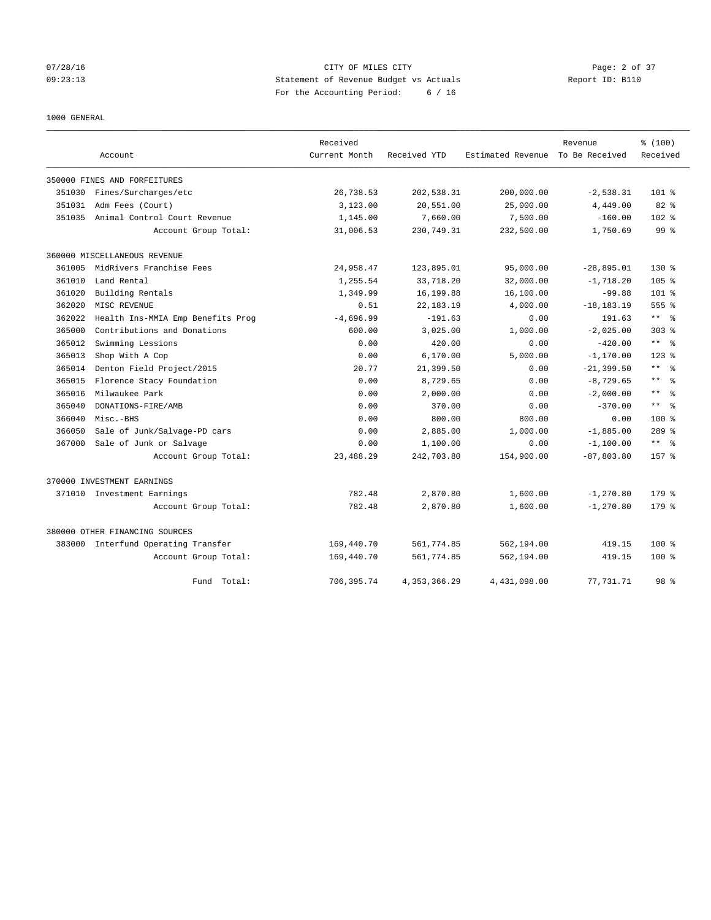## 07/28/16 CITY OF MILES CITY Page: 2 of 37 09:23:13 Statement of Revenue Budget vs Actuals Report ID: B110 For the Accounting Period: 6 / 16

#### 1000 GENERAL

|        | Account                           | Received<br>Current Month | Received YTD   | Estimated Revenue | Revenue<br>To Be Received | % (100)<br>Received          |
|--------|-----------------------------------|---------------------------|----------------|-------------------|---------------------------|------------------------------|
|        |                                   |                           |                |                   |                           |                              |
|        | 350000 FINES AND FORFEITURES      |                           |                |                   |                           |                              |
| 351030 | Fines/Surcharges/etc              | 26,738.53                 | 202,538.31     | 200,000.00        | $-2,538.31$               | $101$ %                      |
| 351031 | Adm Fees (Court)                  | 3,123.00                  | 20,551.00      | 25,000.00         | 4,449.00                  | $82*$                        |
| 351035 | Animal Control Court Revenue      | 1,145.00                  | 7,660.00       | 7,500.00          | $-160.00$                 | 102 <sub>8</sub>             |
|        | Account Group Total:              | 31,006.53                 | 230,749.31     | 232,500.00        | 1,750.69                  | $99*$                        |
|        | 360000 MISCELLANEOUS REVENUE      |                           |                |                   |                           |                              |
| 361005 | MidRivers Franchise Fees          | 24,958.47                 | 123,895.01     | 95,000.00         | $-28,895.01$              | $130*$                       |
| 361010 | Land Rental                       | 1,255.54                  | 33,718.20      | 32,000.00         | $-1,718.20$               | 105 <sub>8</sub>             |
| 361020 | Building Rentals                  | 1,349.99                  | 16,199.88      | 16,100.00         | $-99.88$                  | $101$ %                      |
| 362020 | MISC REVENUE                      | 0.51                      | 22, 183. 19    | 4,000.00          | $-18, 183.19$             | 555 %                        |
| 362022 | Health Ins-MMIA Emp Benefits Prog | $-4.696.99$               | $-191.63$      | 0.00              | 191.63                    | $***$ $%$                    |
| 365000 | Contributions and Donations       | 600.00                    | 3,025.00       | 1,000.00          | $-2,025.00$               | $303$ %                      |
| 365012 | Swimming Lessions                 | 0.00                      | 420.00         | 0.00              | $-420.00$                 | $\star\star$<br>- 응          |
| 365013 | Shop With A Cop                   | 0.00                      | 6,170.00       | 5,000.00          | $-1, 170.00$              | $123$ $%$                    |
| 365014 | Denton Field Project/2015         | 20.77                     | 21,399.50      | 0.00              | $-21, 399.50$             | $\star$ $\star$<br>$\approx$ |
| 365015 | Florence Stacy Foundation         | 0.00                      | 8,729.65       | 0.00              | $-8,729.65$               | $\star\star$<br>$\approx$    |
| 365016 | Milwaukee Park                    | 0.00                      | 2,000.00       | 0.00              | $-2,000.00$               | $\star$ $\star$<br>း         |
| 365040 | DONATIONS-FIRE/AMB                | 0.00                      | 370.00         | 0.00              | $-370.00$                 | $\star$ $\star$<br>ু         |
| 366040 | Misc.-BHS                         | 0.00                      | 800.00         | 800.00            | 0.00                      | 100 <sub>8</sub>             |
| 366050 | Sale of Junk/Salvage-PD cars      | 0.00                      | 2,885.00       | 1,000.00          | $-1,885.00$               | $289$ %                      |
| 367000 | Sale of Junk or Salvage           | 0.00                      | 1,100.00       | 0.00              | $-1,100.00$               | $***$ $%$                    |
|        | Account Group Total:              | 23, 488.29                | 242,703.80     | 154,900.00        | $-87,803.80$              | $157$ %                      |
|        | 370000 INVESTMENT EARNINGS        |                           |                |                   |                           |                              |
|        | 371010 Investment Earnings        | 782.48                    | 2,870.80       | 1,600.00          | $-1, 270.80$              | $179$ $%$                    |
|        | Account Group Total:              | 782.48                    | 2,870.80       | 1,600.00          | $-1, 270.80$              | $179$ $%$                    |
|        | 380000 OTHER FINANCING SOURCES    |                           |                |                   |                           |                              |
| 383000 | Interfund Operating Transfer      | 169,440.70                | 561,774.85     | 562,194.00        | 419.15                    | $100*$                       |
|        | Account Group Total:              | 169,440.70                | 561,774.85     | 562,194.00        | 419.15                    | $100*$                       |
|        | Fund Total:                       | 706,395.74                | 4, 353, 366.29 | 4,431,098.00      | 77,731.71                 | 98 <sup>8</sup>              |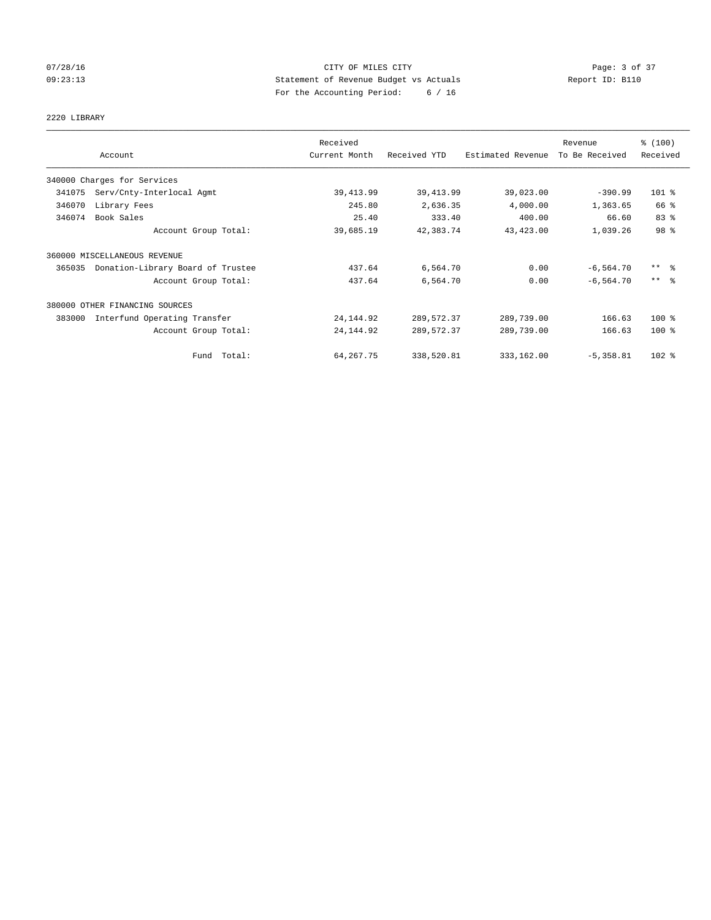## 07/28/16 CITY OF MILES CITY Page: 3 of 37 09:23:13 Statement of Revenue Budget vs Actuals Report ID: B110 For the Accounting Period: 6 / 16

## 2220 LIBRARY

|        |                                   | Received      |              |                   | Revenue        | % (100)             |
|--------|-----------------------------------|---------------|--------------|-------------------|----------------|---------------------|
|        | Account                           | Current Month | Received YTD | Estimated Revenue | To Be Received | Received            |
|        | 340000 Charges for Services       |               |              |                   |                |                     |
| 341075 | Serv/Cnty-Interlocal Agmt         | 39, 413.99    | 39, 413.99   | 39,023.00         | $-390.99$      | 101 %               |
| 346070 | Library Fees                      | 245.80        | 2,636.35     | 4,000.00          | 1,363.65       | 66 %                |
| 346074 | Book Sales                        | 25.40         | 333.40       | 400.00            | 66.60          | 83%                 |
|        | Account Group Total:              | 39,685.19     | 42,383.74    | 43,423.00         | 1,039.26       | 98 %                |
|        | 360000 MISCELLANEOUS REVENUE      |               |              |                   |                |                     |
| 365035 | Donation-Library Board of Trustee | 437.64        | 6,564.70     | 0.00              | $-6, 564.70$   | $***$ $\frac{6}{5}$ |
|        | Account Group Total:              | 437.64        | 6,564.70     | 0.00              | $-6, 564.70$   | $***$ $\frac{6}{5}$ |
|        | 380000 OTHER FINANCING SOURCES    |               |              |                   |                |                     |
| 383000 | Interfund Operating Transfer      | 24, 144.92    | 289,572.37   | 289,739.00        | 166.63         | $100*$              |
|        | Account Group Total:              | 24, 144.92    | 289,572.37   | 289,739.00        | 166.63         | $100*$              |
|        | Fund Total:                       | 64, 267. 75   | 338,520.81   | 333,162.00        | $-5,358.81$    | $102$ %             |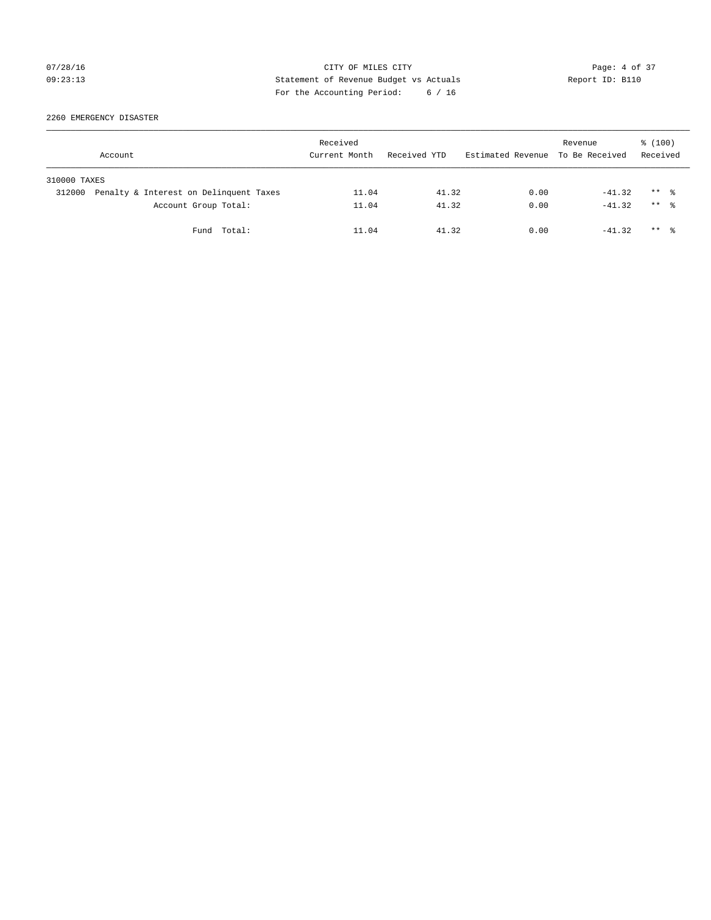## 07/28/16 Page: 4 of 37 09:23:13 Statement of Revenue Budget vs Actuals Report ID: B110 For the Accounting Period: 6 / 16

2260 EMERGENCY DISASTER

|              | Account                                |             | Received<br>Current Month | Received YTD | Estimated Revenue To Be Received | Revenue  | $\frac{100}{3}$<br>Received |  |
|--------------|----------------------------------------|-------------|---------------------------|--------------|----------------------------------|----------|-----------------------------|--|
| 310000 TAXES |                                        |             |                           |              |                                  |          |                             |  |
| 312000       | Penalty & Interest on Delinquent Taxes |             | 11.04                     | 41.32        | 0.00                             | $-41.32$ | $***$ $\frac{6}{10}$        |  |
|              | Account Group Total:                   |             | 11.04                     | 41.32        | 0.00                             | $-41.32$ | $***$ $\frac{6}{10}$        |  |
|              |                                        | Fund Total: | 11.04                     | 41.32        | 0.00                             | $-41.32$ | $***$ $\frac{6}{10}$        |  |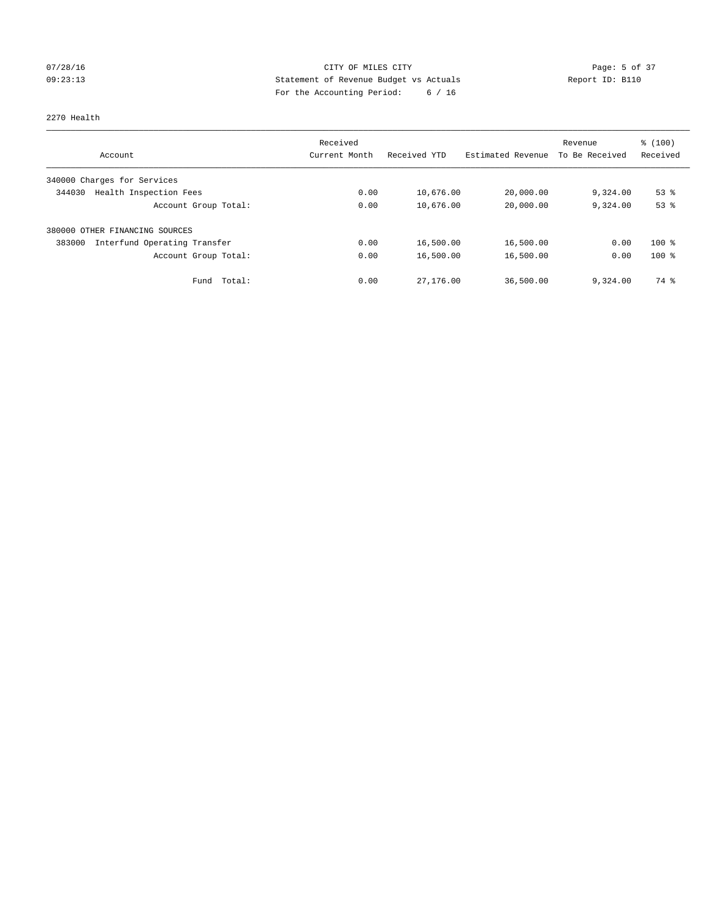## 07/28/16 Page: 5 of 37 09:23:13 Statement of Revenue Budget vs Actuals Report ID: B110 For the Accounting Period: 6 / 16

#### 2270 Health

|                                        | Received      |              |                   | Revenue        | % (100)  |
|----------------------------------------|---------------|--------------|-------------------|----------------|----------|
| Account                                | Current Month | Received YTD | Estimated Revenue | To Be Received | Received |
| 340000 Charges for Services            |               |              |                   |                |          |
| Health Inspection Fees<br>344030       | 0.00          | 10,676.00    | 20,000.00         | 9,324.00       | $53$ $%$ |
| Account Group Total:                   | 0.00          | 10,676.00    | 20,000.00         | 9,324.00       | 53%      |
| 380000 OTHER FINANCING SOURCES         |               |              |                   |                |          |
| Interfund Operating Transfer<br>383000 | 0.00          | 16,500.00    | 16,500.00         | 0.00           | $100*$   |
| Account Group Total:                   | 0.00          | 16,500.00    | 16,500.00         | 0.00           | $100*$   |
| Total:<br>Fund                         | 0.00          | 27,176.00    | 36,500.00         | 9,324.00       | 74 %     |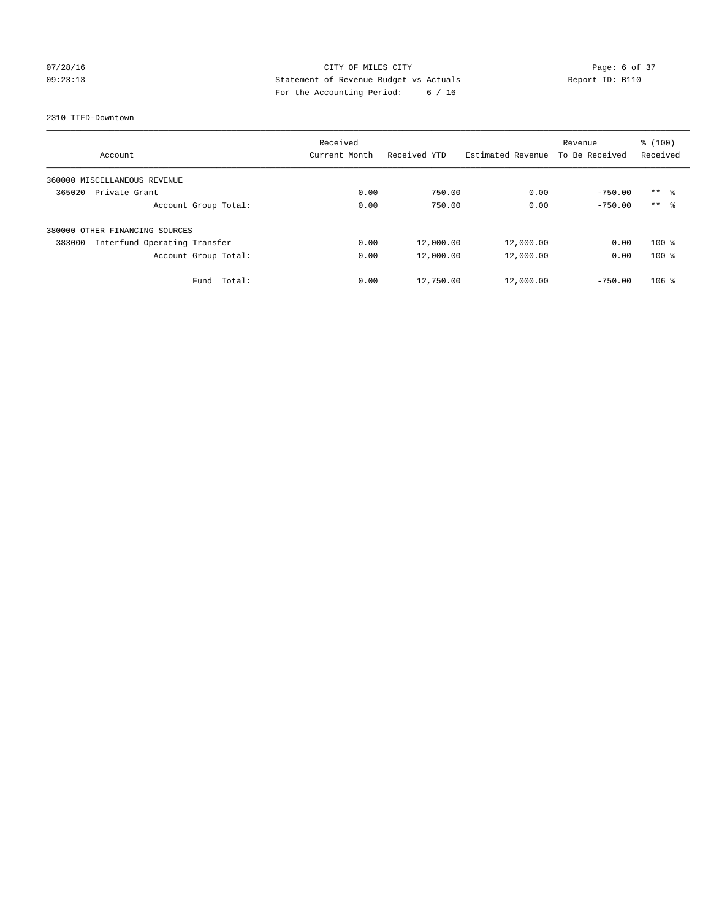## 07/28/16 CITY OF MILES CITY Page: 6 of 37 09:23:13 Statement of Revenue Budget vs Actuals Report ID: B110 For the Accounting Period: 6 / 16

#### 2310 TIFD-Downtown

|                                        | Received      |              |                   | Revenue        | \$(100)         |
|----------------------------------------|---------------|--------------|-------------------|----------------|-----------------|
| Account                                | Current Month | Received YTD | Estimated Revenue | To Be Received | Received        |
| 360000 MISCELLANEOUS REVENUE           |               |              |                   |                |                 |
| 365020<br>Private Grant                | 0.00          | 750.00       | 0.00              | $-750.00$      | $***$ $\approx$ |
| Account Group Total:                   | 0.00          | 750.00       | 0.00              | $-750.00$      | $***$ $\approx$ |
| 380000 OTHER FINANCING SOURCES         |               |              |                   |                |                 |
| Interfund Operating Transfer<br>383000 | 0.00          | 12,000.00    | 12,000.00         | 0.00           | $100*$          |
| Account Group Total:                   | 0.00          | 12,000.00    | 12,000.00         | 0.00           | $100*$          |
| Total:<br>Fund                         | 0.00          | 12,750.00    | 12,000.00         | $-750.00$      | $106$ %         |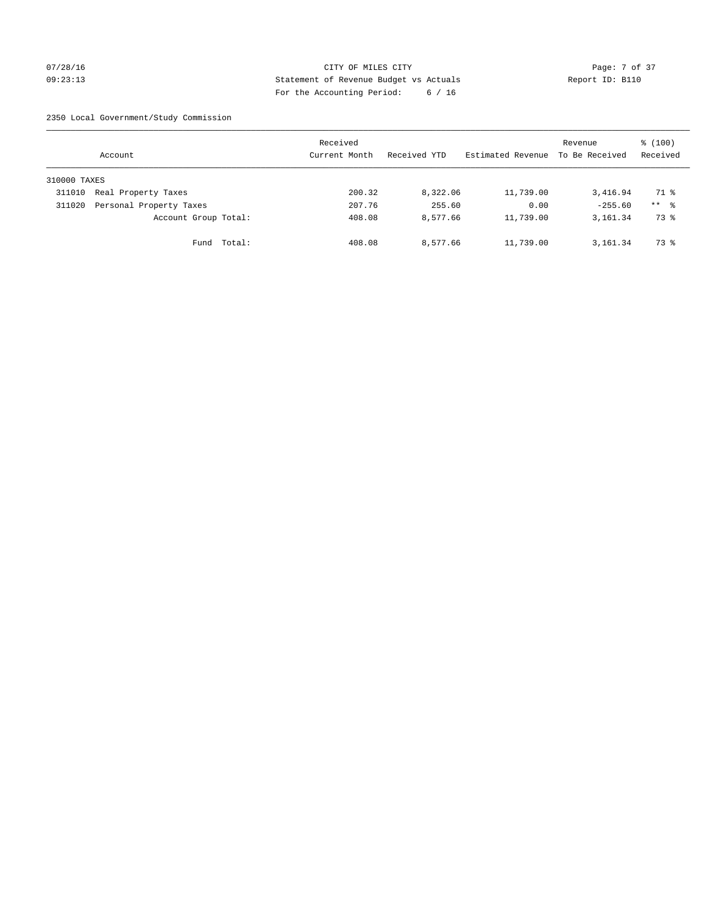## 07/28/16 Page: 7 of 37 09:23:13 Statement of Revenue Budget vs Actuals Report ID: B110 For the Accounting Period: 6 / 16

2350 Local Government/Study Commission

|              | Account                 |             | Received<br>Current Month |        | Received YTD | Estimated Revenue | Revenue<br>To Be Received | $\frac{100}{3}$<br>Received |
|--------------|-------------------------|-------------|---------------------------|--------|--------------|-------------------|---------------------------|-----------------------------|
| 310000 TAXES |                         |             |                           |        |              |                   |                           |                             |
| 311010       | Real Property Taxes     |             |                           | 200.32 | 8,322.06     | 11,739.00         | 3,416.94                  | 71 %                        |
| 311020       | Personal Property Taxes |             |                           | 207.76 | 255.60       | 0.00              | $-255.60$                 | $***$ %                     |
|              | Account Group Total:    |             |                           | 408.08 | 8,577.66     | 11,739.00         | 3,161.34                  | 73 %                        |
|              |                         | Fund Total: |                           | 408.08 | 8,577.66     | 11,739.00         | 3,161.34                  | 73 %                        |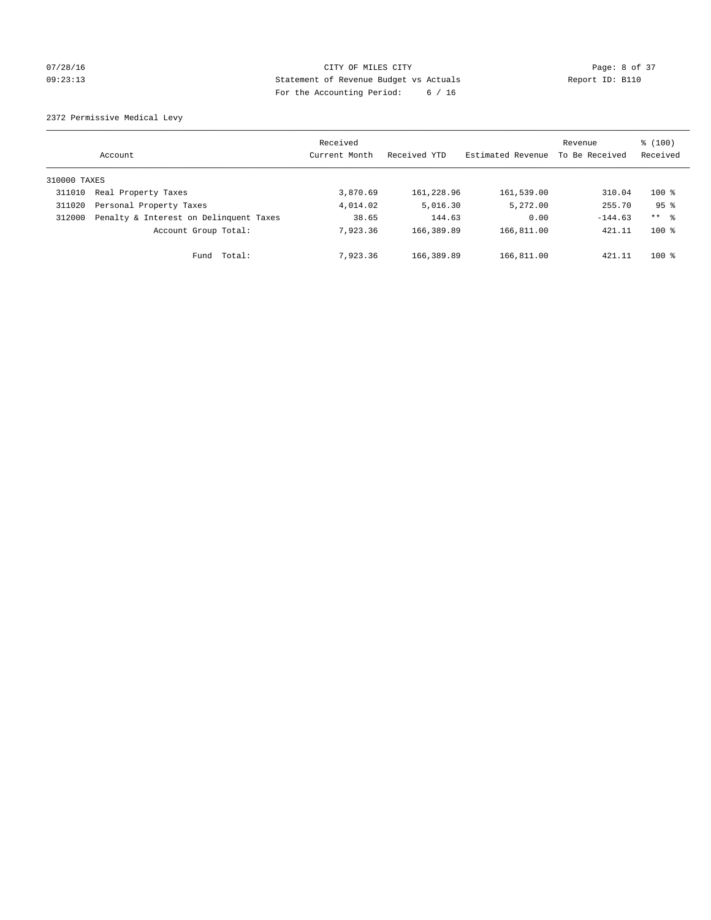## 07/28/16 CITY OF MILES CITY Page: 8 of 37 09:23:13 Statement of Revenue Budget vs Actuals Report ID: B110 For the Accounting Period: 6 / 16

2372 Permissive Medical Levy

|              | Account                                | Received<br>Current Month | Received YTD | Estimated Revenue | Revenue<br>To Be Received | $\frac{100}{3}$<br>Received |
|--------------|----------------------------------------|---------------------------|--------------|-------------------|---------------------------|-----------------------------|
| 310000 TAXES |                                        |                           |              |                   |                           |                             |
| 311010       | Real Property Taxes                    | 3,870.69                  | 161,228.96   | 161,539.00        | 310.04                    | $100*$                      |
| 311020       | Personal Property Taxes                | 4,014.02                  | 5,016.30     | 5,272.00          | 255.70                    | 95 <sup>8</sup>             |
| 312000       | Penalty & Interest on Delinquent Taxes | 38.65                     | 144.63       | 0.00              | $-144.63$                 | $***$ %                     |
|              | Account Group Total:                   | 7.923.36                  | 166,389.89   | 166,811.00        | 421.11                    | $100*$                      |
|              | Fund Total:                            | 7,923.36                  | 166,389.89   | 166,811.00        | 421.11                    | $100*$                      |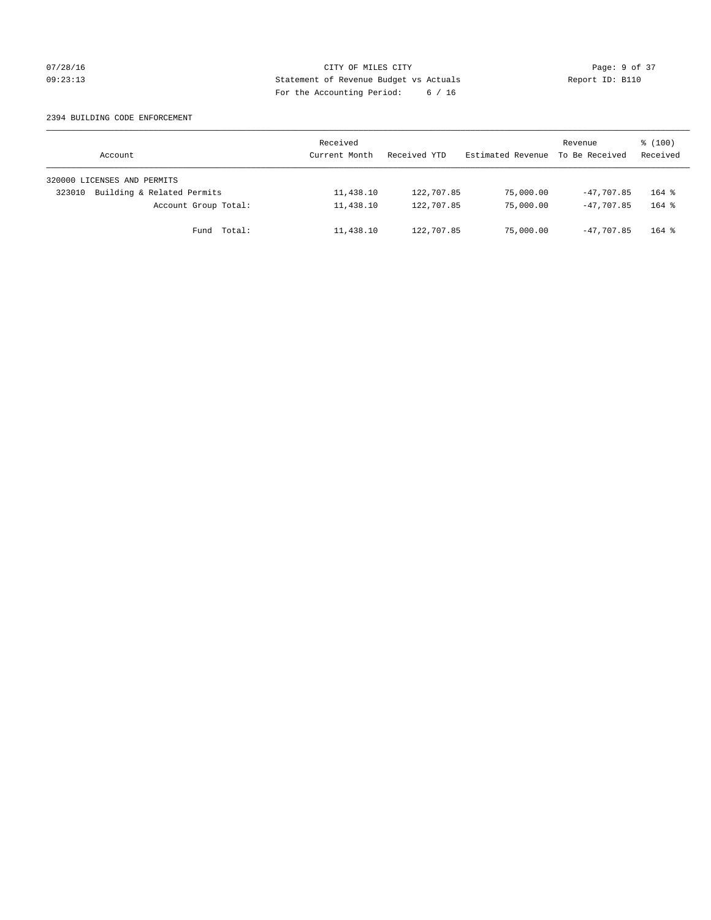## 07/28/16 Page: 9 of 37 09:23:13 Statement of Revenue Budget vs Actuals Report ID: B110 For the Accounting Period: 6 / 16

#### 2394 BUILDING CODE ENFORCEMENT

| Account                              | Received<br>Current Month | Received YTD | Estimated Revenue | Revenue<br>To Be Received | $\frac{100}{3}$<br>Received |
|--------------------------------------|---------------------------|--------------|-------------------|---------------------------|-----------------------------|
| 320000 LICENSES AND PERMITS          |                           |              |                   |                           |                             |
| Building & Related Permits<br>323010 | 11,438.10                 | 122,707.85   | 75,000.00         | $-47.707.85$              | $164$ %                     |
| Account Group Total:                 | 11,438.10                 | 122,707.85   | 75,000.00         | $-47.707.85$              | $164$ $%$                   |
| Fund Total:                          | 11,438.10                 | 122,707.85   | 75,000.00         | $-47.707.85$              | $164$ %                     |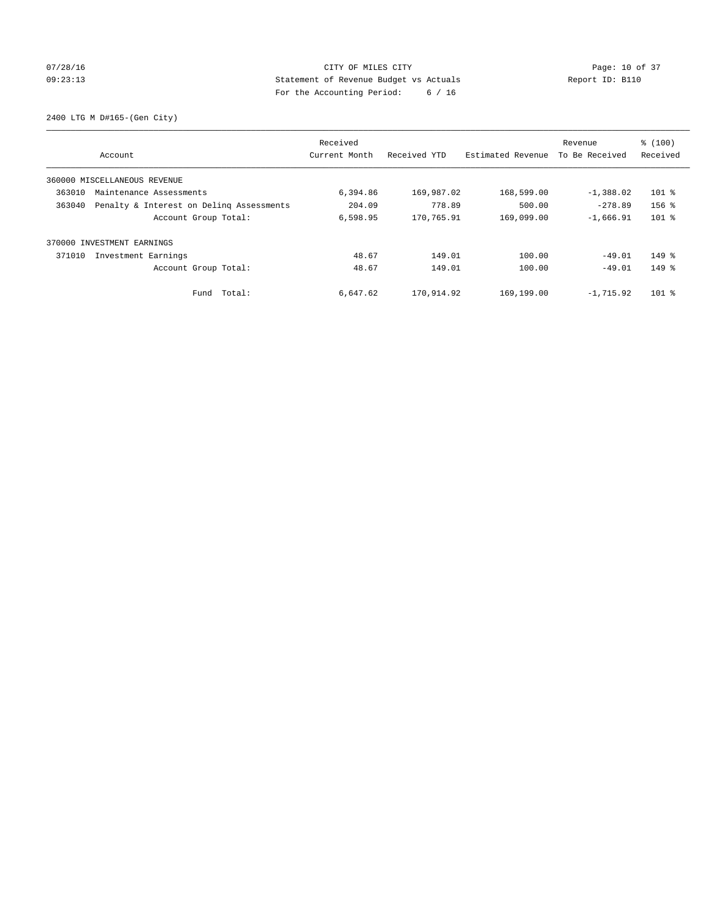## 07/28/16 Page: 10 of 37 09:23:13 Statement of Revenue Budget vs Actuals Report ID: B110 For the Accounting Period: 6 / 16

2400 LTG M D#165-(Gen City)

| Account                                            | Received<br>Current Month | Received YTD | Estimated Revenue | Revenue<br>To Be Received | % (100)<br>Received |
|----------------------------------------------------|---------------------------|--------------|-------------------|---------------------------|---------------------|
| 360000 MISCELLANEOUS REVENUE                       |                           |              |                   |                           |                     |
| 363010<br>Maintenance Assessments                  | 6,394.86                  | 169,987.02   | 168,599.00        | $-1,388.02$               | $101$ %             |
| Penalty & Interest on Deling Assessments<br>363040 | 204.09                    | 778.89       | 500.00            | $-278.89$                 | $156$ %             |
| Account Group Total:                               | 6,598.95                  | 170,765.91   | 169,099.00        | $-1,666.91$               | $101$ %             |
| 370000 INVESTMENT EARNINGS                         |                           |              |                   |                           |                     |
| 371010<br>Investment Earnings                      | 48.67                     | 149.01       | 100.00            | $-49.01$                  | $149$ %             |
| Account Group Total:                               | 48.67                     | 149.01       | 100.00            | $-49.01$                  | $149$ %             |
| Fund Total:                                        | 6,647.62                  | 170,914.92   | 169,199.00        | $-1,715.92$               | $101$ %             |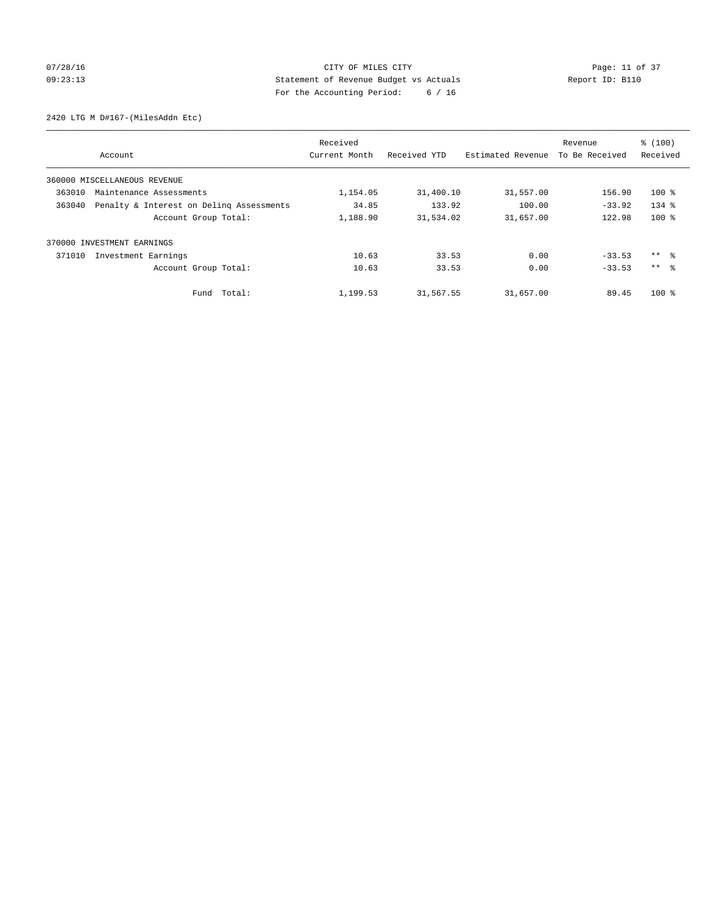## 07/28/16 Page: 11 of 37 09:23:13 Statement of Revenue Budget vs Actuals Report ID: B110 For the Accounting Period: 6 / 16

2420 LTG M D#167-(MilesAddn Etc)

|        | Account                                  | Received<br>Current Month | Received YTD | Estimated Revenue | Revenue<br>To Be Received | % (100)<br>Received |
|--------|------------------------------------------|---------------------------|--------------|-------------------|---------------------------|---------------------|
|        | 360000 MISCELLANEOUS REVENUE             |                           |              |                   |                           |                     |
| 363010 | Maintenance Assessments                  | 1,154.05                  | 31,400.10    | 31,557.00         | 156.90                    | $100*$              |
| 363040 | Penalty & Interest on Deling Assessments | 34.85                     | 133.92       | 100.00            | $-33.92$                  | $134$ $%$           |
|        | Account Group Total:                     | 1,188.90                  | 31,534.02    | 31,657.00         | 122.98                    | $100*$              |
| 370000 | INVESTMENT EARNINGS                      |                           |              |                   |                           |                     |
| 371010 | Investment Earnings                      | 10.63                     | 33.53        | 0.00              | $-33.53$                  | ** 왕                |
|        | Account Group Total:                     | 10.63                     | 33.53        | 0.00              | $-33.53$                  | $***$ $\approx$     |
|        | Fund Total:                              | 1,199.53                  | 31,567.55    | 31,657.00         | 89.45                     | $100*$              |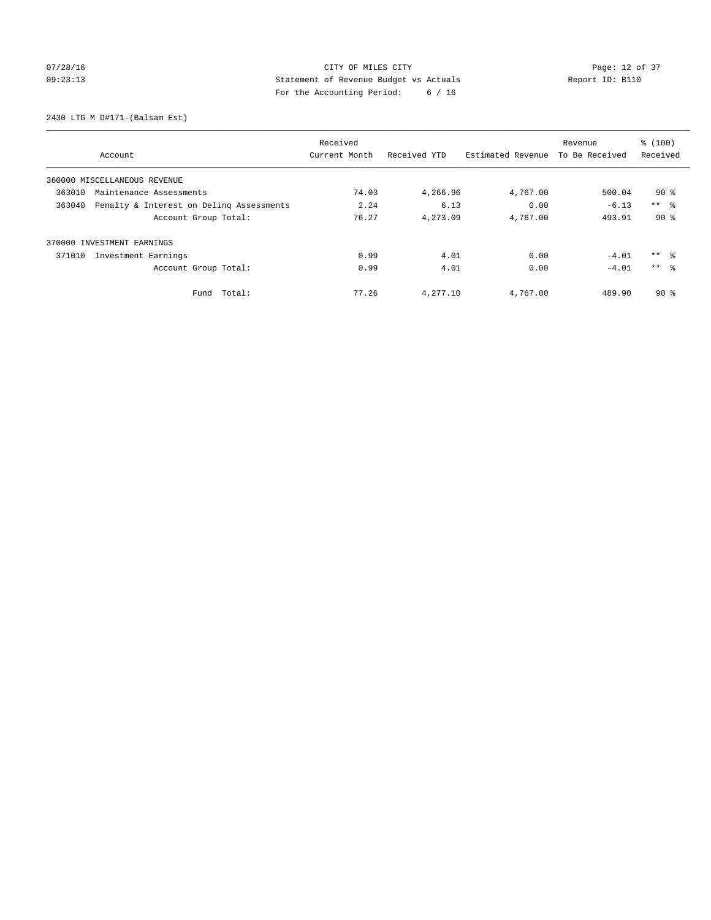## 07/28/16 Page: 12 of 37 09:23:13 Statement of Revenue Budget vs Actuals Report ID: B110 For the Accounting Period: 6 / 16

2430 LTG M D#171-(Balsam Est)

|                                                    | Received      |              |                   | Revenue        | % (100)         |
|----------------------------------------------------|---------------|--------------|-------------------|----------------|-----------------|
| Account                                            | Current Month | Received YTD | Estimated Revenue | To Be Received | Received        |
| 360000 MISCELLANEOUS REVENUE                       |               |              |                   |                |                 |
| 363010<br>Maintenance Assessments                  | 74.03         | 4,266.96     | 4,767.00          | 500.04         | $90*$           |
| 363040<br>Penalty & Interest on Deling Assessments | 2.24          | 6.13         | 0.00              | $-6.13$        | $***$ $\approx$ |
| Account Group Total:                               | 76.27         | 4,273.09     | 4,767.00          | 493.91         | $90*$           |
| 370000 INVESTMENT EARNINGS                         |               |              |                   |                |                 |
| Investment Earnings<br>371010                      | 0.99          | 4.01         | 0.00              | $-4.01$        | ** 왕            |
| Account Group Total:                               | 0.99          | 4.01         | 0.00              | $-4.01$        | $***$ $\approx$ |
| Total:<br>Fund                                     | 77.26         | 4,277.10     | 4,767.00          | 489.90         | $90*$           |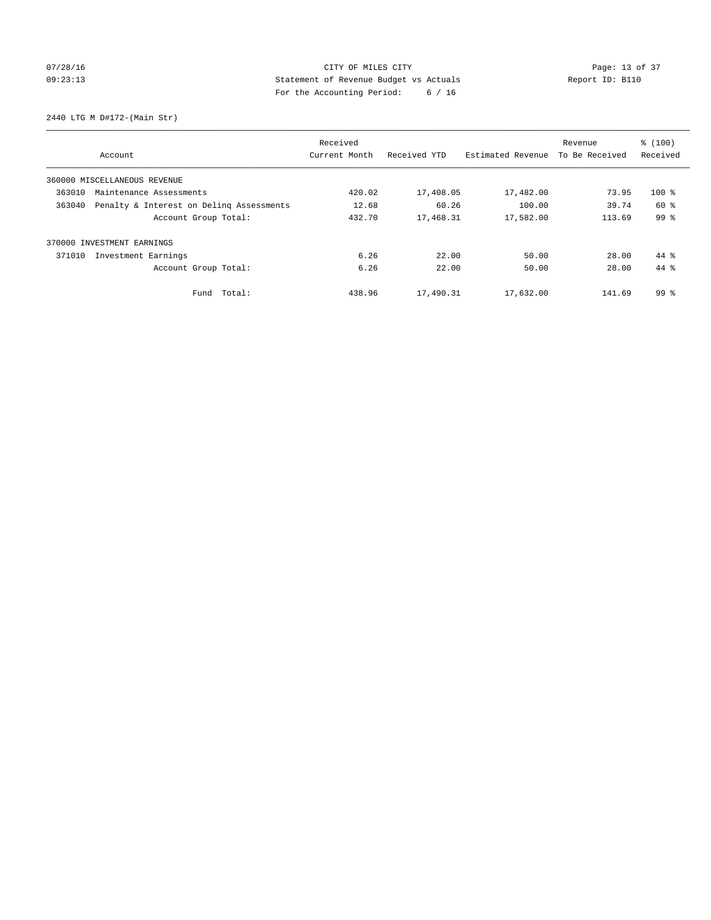## 07/28/16 Page: 13 of 37 09:23:13 Statement of Revenue Budget vs Actuals Report ID: B110 For the Accounting Period: 6 / 16

2440 LTG M D#172-(Main Str)

| Received                                           |               |              |                   |                | % (100)         |
|----------------------------------------------------|---------------|--------------|-------------------|----------------|-----------------|
| Account                                            | Current Month | Received YTD | Estimated Revenue | To Be Received | Received        |
| 360000 MISCELLANEOUS REVENUE                       |               |              |                   |                |                 |
| 363010<br>Maintenance Assessments                  | 420.02        | 17,408.05    | 17,482.00         | 73.95          | $100$ %         |
| Penalty & Interest on Deling Assessments<br>363040 | 12.68         | 60.26        | 100.00            | 39.74          | 60 %            |
| Account Group Total:                               | 432.70        | 17,468.31    | 17,582.00         | 113.69         | 99 <sup>°</sup> |
| INVESTMENT EARNINGS<br>370000                      |               |              |                   |                |                 |
| 371010<br>Investment Earnings                      | 6.26          | 22.00        | 50.00             | 28.00          | 44 %            |
| Account Group Total:                               | 6.26          | 22.00        | 50.00             | 28.00          | $44*$           |
| Fund Total:                                        | 438.96        | 17,490.31    | 17,632.00         | 141.69         | $99*$           |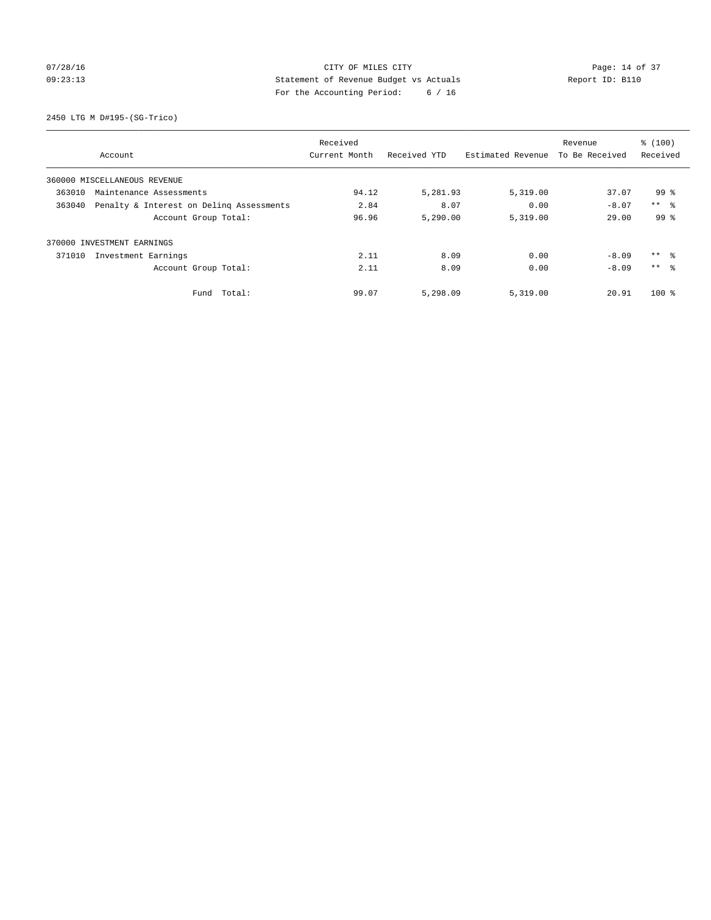## 07/28/16 Page: 14 of 37 09:23:13 Statement of Revenue Budget vs Actuals Report ID: B110 For the Accounting Period: 6 / 16

2450 LTG M D#195-(SG-Trico)

|                                                    | Received             |               |              |                   |                | % (100)         |
|----------------------------------------------------|----------------------|---------------|--------------|-------------------|----------------|-----------------|
| Account                                            |                      | Current Month | Received YTD | Estimated Revenue | To Be Received | Received        |
| 360000 MISCELLANEOUS REVENUE                       |                      |               |              |                   |                |                 |
| 363010<br>Maintenance Assessments                  |                      | 94.12         | 5,281.93     | 5,319.00          | 37.07          | 99 %            |
| Penalty & Interest on Deling Assessments<br>363040 |                      | 2.84          | 8.07         | 0.00              | $-8.07$        | $***$ $ -$      |
|                                                    | Account Group Total: | 96.96         | 5,290.00     | 5,319.00          | 29.00          | 99 <sup>8</sup> |
| 370000 INVESTMENT EARNINGS                         |                      |               |              |                   |                |                 |
| 371010<br>Investment Earnings                      |                      | 2.11          | 8.09         | 0.00              | $-8.09$        | ** 왕            |
|                                                    | Account Group Total: | 2.11          | 8.09         | 0.00              | $-8.09$        | $***$ $\approx$ |
|                                                    | Total:<br>Fund       | 99.07         | 5,298.09     | 5,319.00          | 20.91          | $100*$          |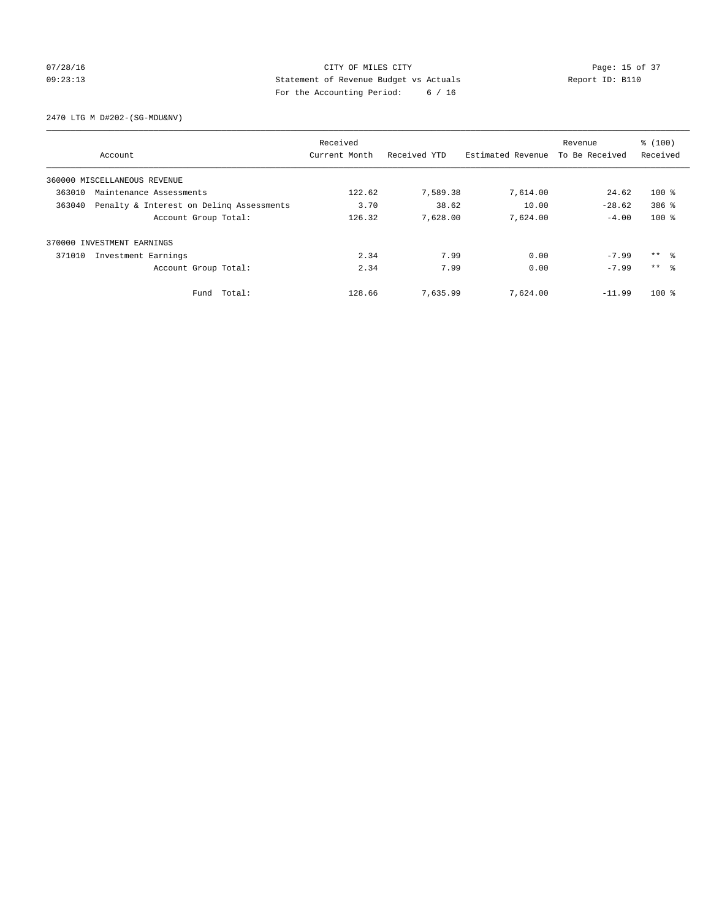## 07/28/16 Page: 15 of 37 09:23:13 Statement of Revenue Budget vs Actuals Report ID: B110 For the Accounting Period: 6 / 16

2470 LTG M D#202-(SG-MDU&NV)

|                                                    | Received      |              |                   | Revenue        | % (100)         |
|----------------------------------------------------|---------------|--------------|-------------------|----------------|-----------------|
| Account                                            | Current Month | Received YTD | Estimated Revenue | To Be Received | Received        |
| 360000 MISCELLANEOUS REVENUE                       |               |              |                   |                |                 |
| 363010<br>Maintenance Assessments                  | 122.62        | 7,589.38     | 7,614.00          | 24.62          | $100*$          |
| Penalty & Interest on Deling Assessments<br>363040 | 3.70          | 38.62        | 10.00             | $-28.62$       | $386$ $%$       |
| Account Group Total:                               | 126.32        | 7,628.00     | 7,624.00          | $-4.00$        | $100*$          |
| 370000 INVESTMENT EARNINGS                         |               |              |                   |                |                 |
| 371010<br>Investment Earnings                      | 2.34          | 7.99         | 0.00              | $-7.99$        | ** 왕            |
| Account Group Total:                               | 2.34          | 7.99         | 0.00              | $-7.99$        | $***$ $\approx$ |
| Total:<br>Fund                                     | 128.66        | 7,635.99     | 7,624.00          | $-11.99$       | $100*$          |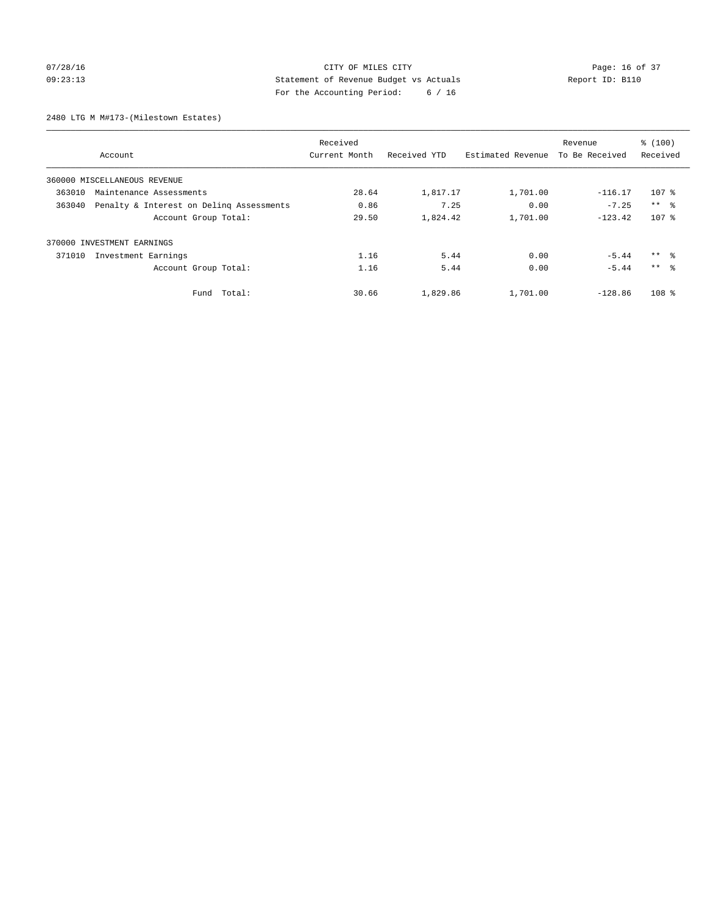## 07/28/16 Page: 16 of 37 09:23:13 Statement of Revenue Budget vs Actuals Report ID: B110 For the Accounting Period: 6 / 16

2480 LTG M M#173-(Milestown Estates)

| Received                                           |               |              |                   |                | % (100)             |
|----------------------------------------------------|---------------|--------------|-------------------|----------------|---------------------|
| Account                                            | Current Month | Received YTD | Estimated Revenue | To Be Received | Received            |
| 360000 MISCELLANEOUS REVENUE                       |               |              |                   |                |                     |
| 363010<br>Maintenance Assessments                  | 28.64         | 1,817.17     | 1,701.00          | $-116.17$      | $107$ %             |
| Penalty & Interest on Deling Assessments<br>363040 | 0.86          | 7.25         | 0.00              | $-7.25$        | $***$ $ -$          |
| Account Group Total:                               | 29.50         | 1,824.42     | 1,701.00          | $-123.42$      | 107 <sub>8</sub>    |
| 370000 INVESTMENT EARNINGS                         |               |              |                   |                |                     |
| 371010<br>Investment Earnings                      | 1.16          | 5.44         | 0.00              | $-5.44$        | $***$ $\frac{6}{3}$ |
| Account Group Total:                               | 1.16          | 5.44         | 0.00              | $-5.44$        | $***$ $\approx$     |
| Total:<br>Fund                                     | 30.66         | 1,829.86     | 1,701.00          | $-128.86$      | 108 <sup>8</sup>    |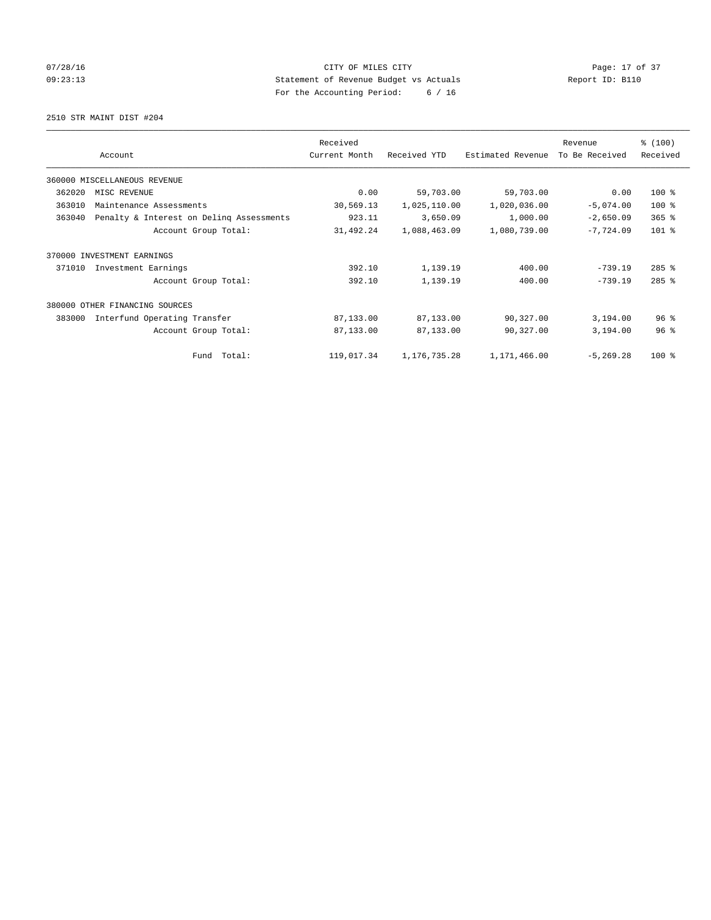## 07/28/16 Page: 17 of 37 09:23:13 Statement of Revenue Budget vs Actuals Report ID: B110 For the Accounting Period: 6 / 16

2510 STR MAINT DIST #204

|        |                                          | Received      |              |                   | Revenue        | % (100)   |
|--------|------------------------------------------|---------------|--------------|-------------------|----------------|-----------|
|        | Account                                  | Current Month | Received YTD | Estimated Revenue | To Be Received | Received  |
|        | 360000 MISCELLANEOUS REVENUE             |               |              |                   |                |           |
| 362020 | MISC REVENUE                             | 0.00          | 59,703.00    | 59,703.00         | 0.00           | $100$ %   |
| 363010 | Maintenance Assessments                  | 30,569.13     | 1,025,110.00 | 1,020,036.00      | $-5,074.00$    | $100*$    |
| 363040 | Penalty & Interest on Deling Assessments | 923.11        | 3,650.09     | 1,000.00          | $-2,650.09$    | $365$ $%$ |
|        | Account Group Total:                     | 31,492.24     | 1,088,463.09 | 1,080,739.00      | $-7,724.09$    | $101$ %   |
| 370000 | INVESTMENT EARNINGS                      |               |              |                   |                |           |
| 371010 | Investment Earnings                      | 392.10        | 1,139.19     | 400.00            | $-739.19$      | $285$ %   |
|        | Account Group Total:                     | 392.10        | 1,139.19     | 400.00            | $-739.19$      | $285$ %   |
| 380000 | OTHER FINANCING SOURCES                  |               |              |                   |                |           |
| 383000 | Interfund Operating Transfer             | 87,133.00     | 87,133.00    | 90,327.00         | 3,194.00       | 96%       |
|        | Account Group Total:                     | 87,133.00     | 87,133.00    | 90,327.00         | 3,194.00       | 96%       |
|        | Fund Total:                              | 119,017.34    | 1,176,735.28 | 1,171,466.00      | $-5, 269.28$   | $100$ %   |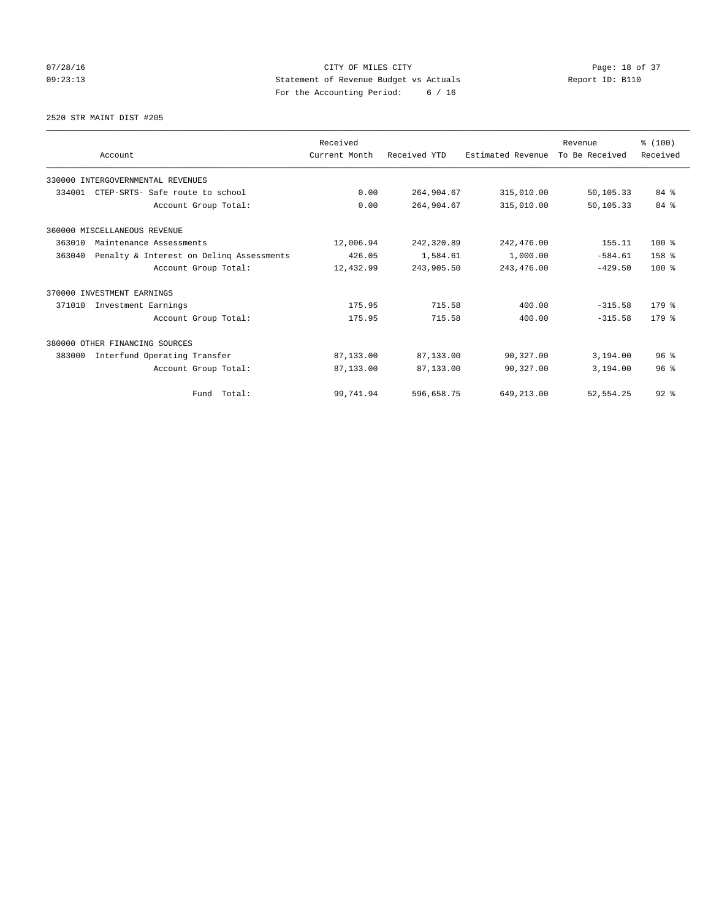07/28/16 Page: 18 of 37 09:23:13 Statement of Revenue Budget vs Actuals Report ID: B110 For the Accounting Period: 6 / 16

#### 2520 STR MAINT DIST #205

|        |                                          | Received      |              |                   | Revenue        | % (100)         |
|--------|------------------------------------------|---------------|--------------|-------------------|----------------|-----------------|
|        | Account                                  | Current Month | Received YTD | Estimated Revenue | To Be Received | Received        |
|        | 330000 INTERGOVERNMENTAL REVENUES        |               |              |                   |                |                 |
| 334001 | CTEP-SRTS- Safe route to school          | 0.00          | 264,904.67   | 315,010.00        | 50,105.33      | 84 %            |
|        | Account Group Total:                     | 0.00          | 264,904.67   | 315,010.00        | 50,105.33      | 84 %            |
|        | 360000 MISCELLANEOUS REVENUE             |               |              |                   |                |                 |
| 363010 | Maintenance Assessments                  | 12,006.94     | 242,320.89   | 242,476.00        | 155.11         | $100*$          |
| 363040 | Penalty & Interest on Deling Assessments | 426.05        | 1,584.61     | 1,000.00          | $-584.61$      | 158 %           |
|        | Account Group Total:                     | 12,432.99     | 243,905.50   | 243,476.00        | $-429.50$      | $100*$          |
|        | 370000 INVESTMENT EARNINGS               |               |              |                   |                |                 |
| 371010 | Investment Earnings                      | 175.95        | 715.58       | 400.00            | $-315.58$      | 179.8           |
|        | Account Group Total:                     | 175.95        | 715.58       | 400.00            | $-315.58$      | 179.8           |
|        | 380000 OTHER FINANCING SOURCES           |               |              |                   |                |                 |
| 383000 | Interfund Operating Transfer             | 87,133.00     | 87,133.00    | 90,327.00         | 3,194.00       | 96 <sup>8</sup> |
|        | Account Group Total:                     | 87,133.00     | 87,133.00    | 90,327.00         | 3,194.00       | 96 <sup>8</sup> |
|        | Fund Total:                              | 99,741.94     | 596,658.75   | 649,213.00        | 52, 554.25     | $92$ $%$        |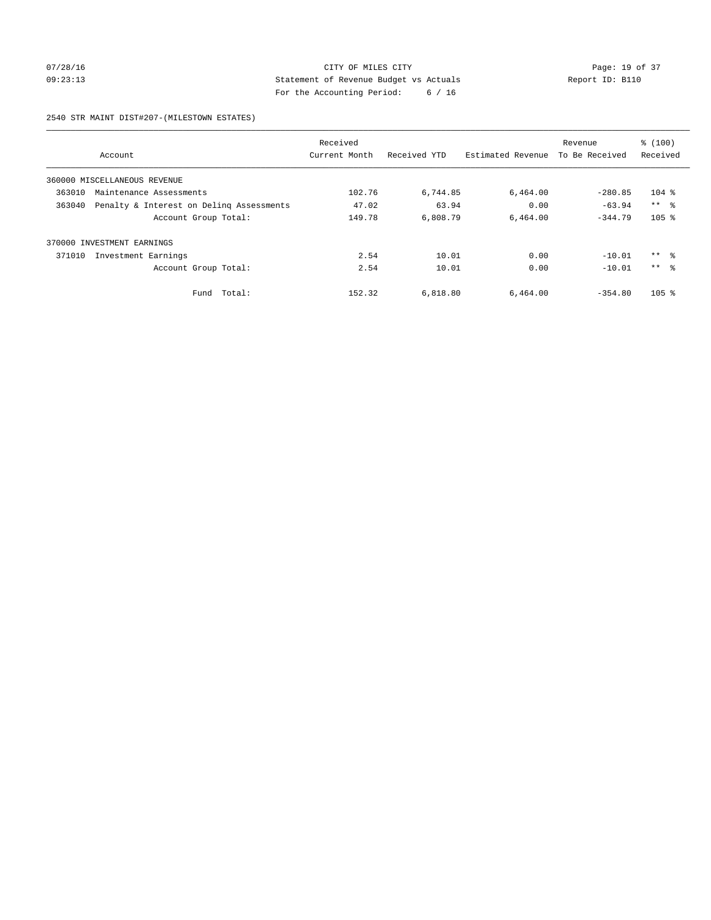## 07/28/16 Page: 19 of 37 09:23:13 Statement of Revenue Budget vs Actuals Report ID: B110 For the Accounting Period: 6 / 16

#### 2540 STR MAINT DIST#207-(MILESTOWN ESTATES)

|        |                                          | Received      |              |                   | Revenue        | % (100)         |
|--------|------------------------------------------|---------------|--------------|-------------------|----------------|-----------------|
|        | Account                                  | Current Month | Received YTD | Estimated Revenue | To Be Received | Received        |
|        | 360000 MISCELLANEOUS REVENUE             |               |              |                   |                |                 |
| 363010 | Maintenance Assessments                  | 102.76        | 6,744.85     | 6,464.00          | $-280.85$      | $104$ %         |
| 363040 | Penalty & Interest on Deling Assessments | 47.02         | 63.94        | 0.00              | $-63.94$       | $***$ $\approx$ |
|        | Account Group Total:                     | 149.78        | 6,808.79     | 6.464.00          | $-344.79$      | $105$ %         |
| 370000 | INVESTMENT EARNINGS                      |               |              |                   |                |                 |
| 371010 | Investment Earnings                      | 2.54          | 10.01        | 0.00              | $-10.01$       | $***$ $ -$      |
|        | Account Group Total:                     | 2.54          | 10.01        | 0.00              | $-10.01$       | $***$ $\approx$ |
|        | Total:<br>Fund                           | 152.32        | 6,818.80     | 6,464.00          | $-354.80$      | $105$ %         |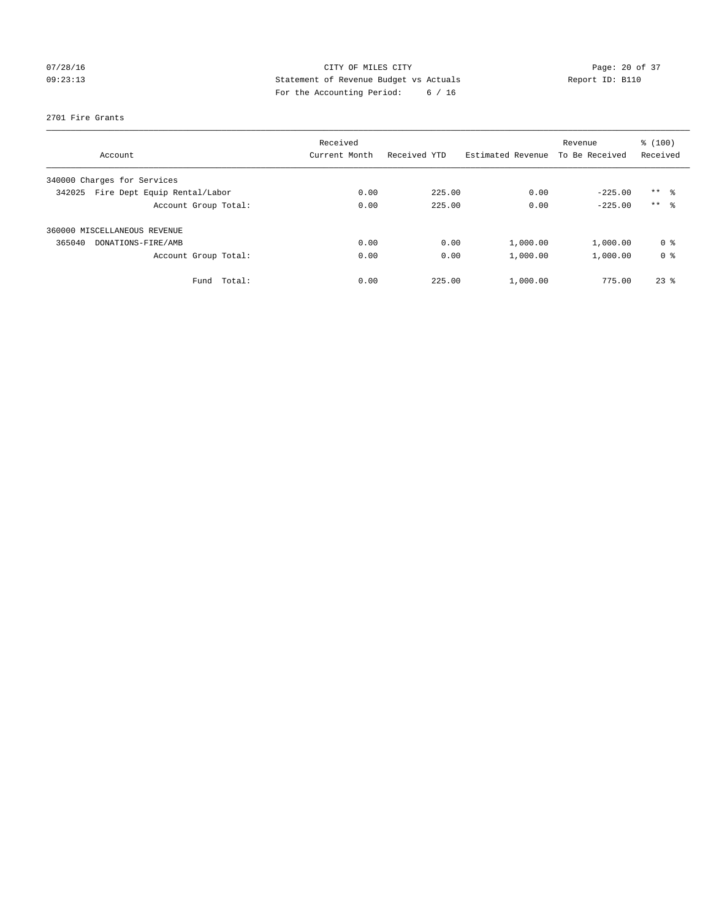## 07/28/16 Page: 20 of 37 09:23:13 Statement of Revenue Budget vs Actuals Report ID: B110 For the Accounting Period: 6 / 16

#### 2701 Fire Grants

| Account                                | Received<br>Current Month | Received YTD | Revenue<br>Estimated Revenue |                | % (100)<br>Received |
|----------------------------------------|---------------------------|--------------|------------------------------|----------------|---------------------|
|                                        |                           |              |                              | To Be Received |                     |
| 340000 Charges for Services            |                           |              |                              |                |                     |
| Fire Dept Equip Rental/Labor<br>342025 | 0.00                      | 225.00       | 0.00                         | $-225.00$      | $***$ $\frac{6}{3}$ |
| Account Group Total:                   | 0.00                      | 225.00       | 0.00                         | $-225.00$      | $***$ $\approx$     |
| 360000 MISCELLANEOUS REVENUE           |                           |              |                              |                |                     |
| 365040<br>DONATIONS-FIRE/AMB           | 0.00                      | 0.00         | 1,000.00                     | 1,000.00       | 0 <sup>8</sup>      |
| Account Group Total:                   | 0.00                      | 0.00         | 1,000.00                     | 1,000.00       | 0 <sup>8</sup>      |
| Fund Total:                            | 0.00                      | 225.00       | 1,000.00                     | 775.00         | $23$ $%$            |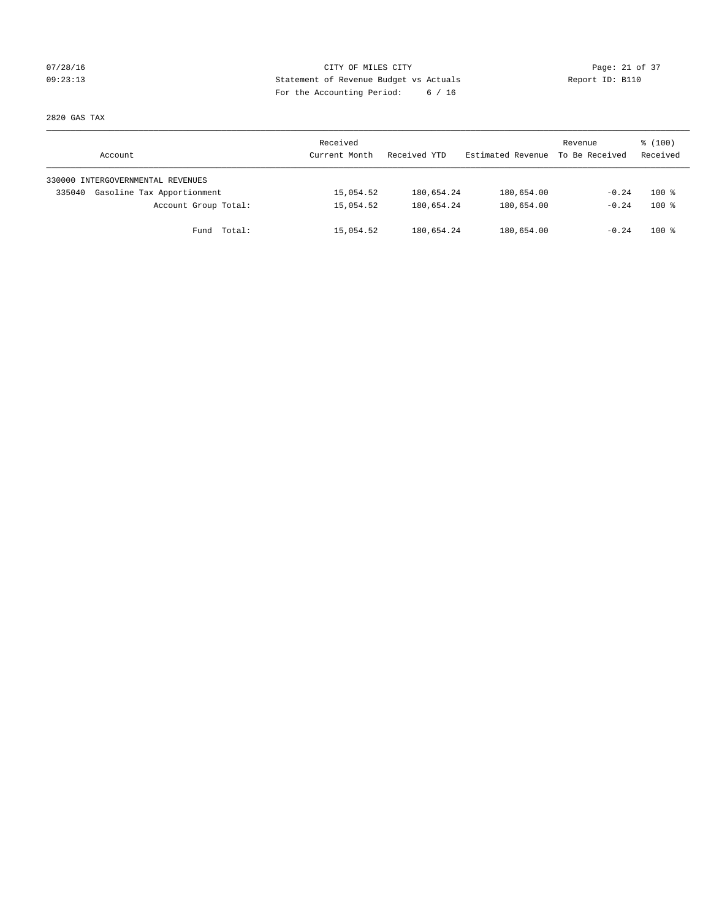## 07/28/16 Page: 21 of 37 09:23:13 Statement of Revenue Budget vs Actuals Report ID: B110 For the Accounting Period: 6 / 16

2820 GAS TAX

| Account                              | Received<br>Current Month | Received YTD | Estimated Revenue | Revenue<br>To Be Received | \$(100)<br>Received |
|--------------------------------------|---------------------------|--------------|-------------------|---------------------------|---------------------|
| 330000 INTERGOVERNMENTAL REVENUES    |                           |              |                   |                           |                     |
| Gasoline Tax Apportionment<br>335040 | 15,054.52                 | 180,654.24   | 180,654.00        | $-0.24$                   | $100*$              |
| Account Group Total:                 | 15,054.52                 | 180,654.24   | 180,654.00        | $-0.24$                   | $100*$              |
| Fund Total:                          | 15,054.52                 | 180,654.24   | 180,654.00        | $-0.24$                   | $100*$              |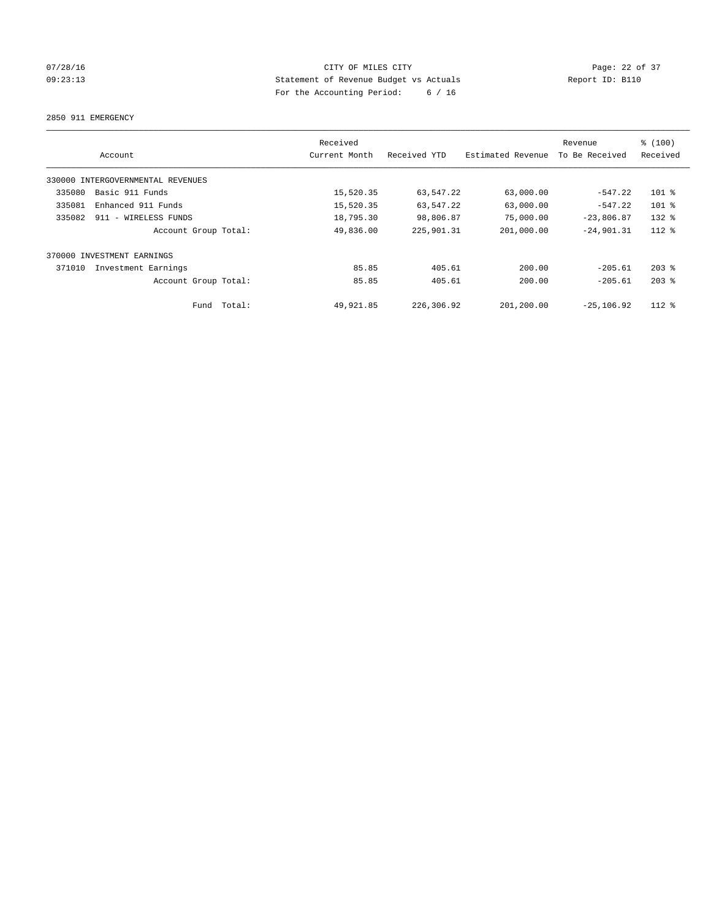## 07/28/16 Page: 22 of 37 09:23:13 Statement of Revenue Budget vs Actuals Report ID: B110 For the Accounting Period: 6 / 16

2850 911 EMERGENCY

|        | Account                           |        | Received<br>Current Month | Received YTD | Estimated Revenue | Revenue<br>To Be Received | \$(100)<br>Received |
|--------|-----------------------------------|--------|---------------------------|--------------|-------------------|---------------------------|---------------------|
|        | 330000 INTERGOVERNMENTAL REVENUES |        |                           |              |                   |                           |                     |
| 335080 | Basic 911 Funds                   |        | 15,520.35                 | 63,547.22    | 63,000.00         | $-547.22$                 | $101$ %             |
| 335081 | Enhanced 911 Funds                |        | 15,520.35                 | 63,547.22    | 63,000.00         | $-547.22$                 | $101$ %             |
| 335082 | 911 - WIRELESS FUNDS              |        | 18,795.30                 | 98,806.87    | 75,000.00         | $-23,806.87$              | $132$ $%$           |
|        | Account Group Total:              |        | 49,836.00                 | 225,901.31   | 201,000.00        | $-24,901.31$              | $112*$              |
|        | 370000 INVESTMENT EARNINGS        |        |                           |              |                   |                           |                     |
| 371010 | Investment Earnings               |        | 85.85                     | 405.61       | 200.00            | $-205.61$                 | $203$ $%$           |
|        | Account Group Total:              |        | 85.85                     | 405.61       | 200.00            | $-205.61$                 | $203$ $%$           |
|        | Fund                              | Total: | 49,921.85                 | 226,306.92   | 201,200.00        | $-25.106.92$              | $112*$              |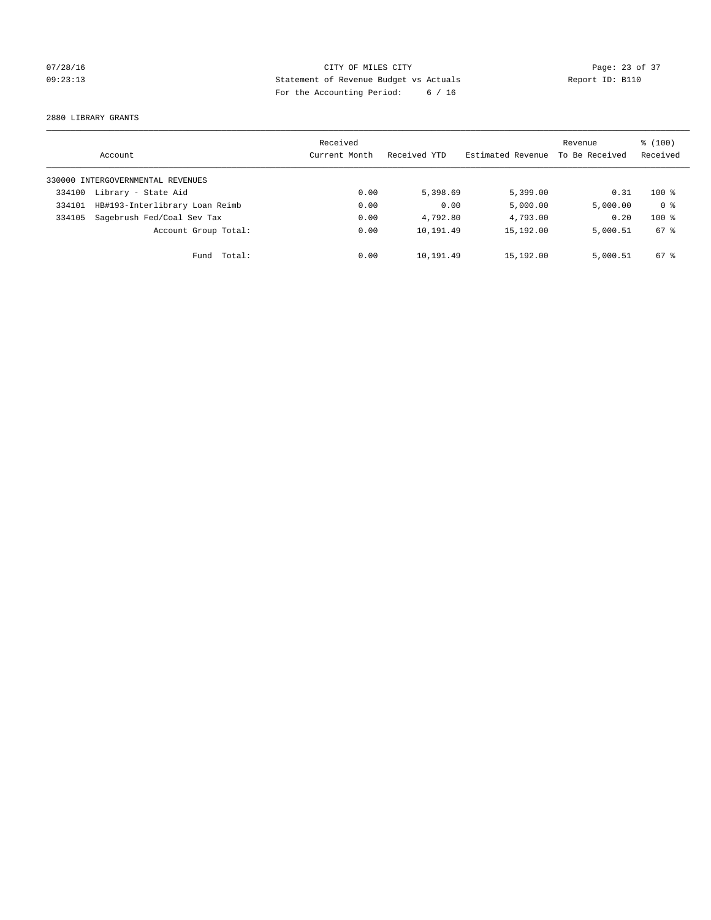## 07/28/16 Page: 23 of 37 09:23:13 Statement of Revenue Budget vs Actuals Report ID: B110 For the Accounting Period: 6 / 16

2880 LIBRARY GRANTS

|        | Account                           | Received<br>Current Month | Received YTD | Estimated Revenue | Revenue<br>To Be Received | $\frac{100}{3}$<br>Received |
|--------|-----------------------------------|---------------------------|--------------|-------------------|---------------------------|-----------------------------|
|        | 330000 INTERGOVERNMENTAL REVENUES |                           |              |                   |                           |                             |
| 334100 | Library - State Aid               | 0.00                      | 5,398.69     | 5,399.00          | 0.31                      | $100*$                      |
| 334101 | HB#193-Interlibrary Loan Reimb    | 0.00                      | 0.00         | 5,000.00          | 5,000.00                  | 0 <sup>8</sup>              |
| 334105 | Sagebrush Fed/Coal Sev Tax        | 0.00                      | 4,792.80     | 4,793.00          | 0.20                      | $100*$                      |
|        | Account Group Total:              | 0.00                      | 10,191.49    | 15,192.00         | 5,000.51                  | 67 %                        |
|        | Fund Total:                       | 0.00                      | 10,191.49    | 15,192.00         | 5,000.51                  | $67*$                       |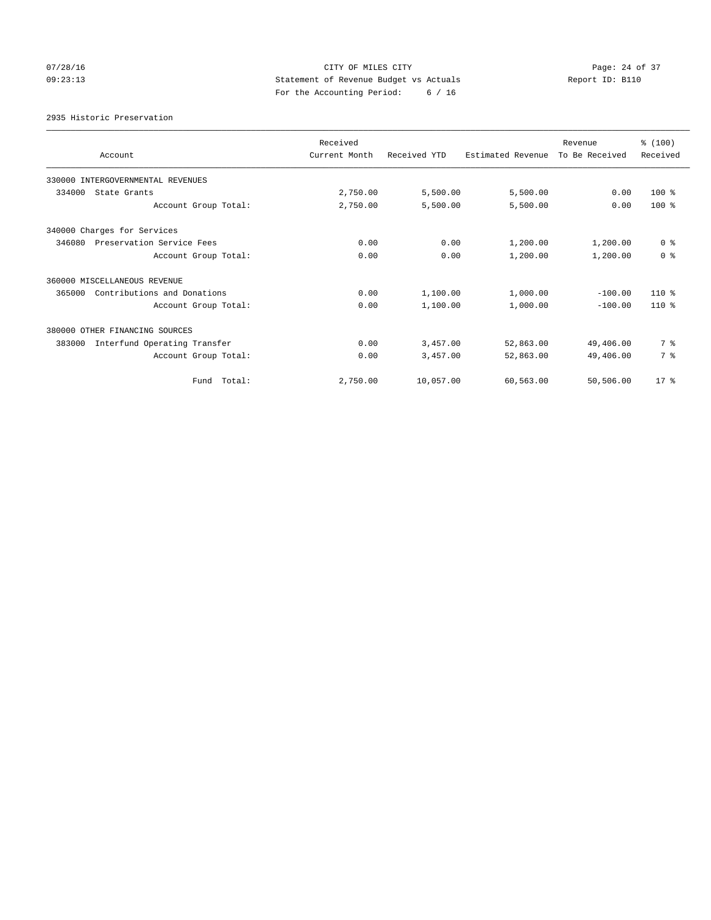## 07/28/16 Page: 24 of 37 09:23:13 Statement of Revenue Budget vs Actuals Report ID: B110 For the Accounting Period: 6 / 16

2935 Historic Preservation

| Account                                | Received<br>Current Month | Received YTD | Estimated Revenue | Revenue<br>To Be Received | % (100)<br>Received |
|----------------------------------------|---------------------------|--------------|-------------------|---------------------------|---------------------|
| 330000 INTERGOVERNMENTAL REVENUES      |                           |              |                   |                           |                     |
| 334000<br>State Grants                 | 2,750.00                  | 5,500.00     | 5,500.00          | 0.00                      | $100$ %             |
| Account Group Total:                   | 2,750.00                  | 5,500.00     | 5,500.00          | 0.00                      | $100*$              |
| 340000 Charges for Services            |                           |              |                   |                           |                     |
| 346080<br>Preservation Service Fees    | 0.00                      | 0.00         | 1,200.00          | 1,200.00                  | 0 <sup>8</sup>      |
| Account Group Total:                   | 0.00                      | 0.00         | 1,200.00          | 1,200.00                  | 0 <sup>8</sup>      |
| 360000 MISCELLANEOUS REVENUE           |                           |              |                   |                           |                     |
| 365000<br>Contributions and Donations  | 0.00                      | 1,100.00     | 1,000.00          | $-100.00$                 | $110*$              |
| Account Group Total:                   | 0.00                      | 1,100.00     | 1,000.00          | $-100.00$                 | $110*$              |
| 380000 OTHER FINANCING SOURCES         |                           |              |                   |                           |                     |
| 383000<br>Interfund Operating Transfer | 0.00                      | 3,457.00     | 52,863.00         | 49,406.00                 | 7 %                 |
| Account Group Total:                   | 0.00                      | 3,457.00     | 52,863.00         | 49,406.00                 | 7 %                 |
| Fund Total:                            | 2,750.00                  | 10,057.00    | 60,563.00         | 50,506.00                 | $17*$               |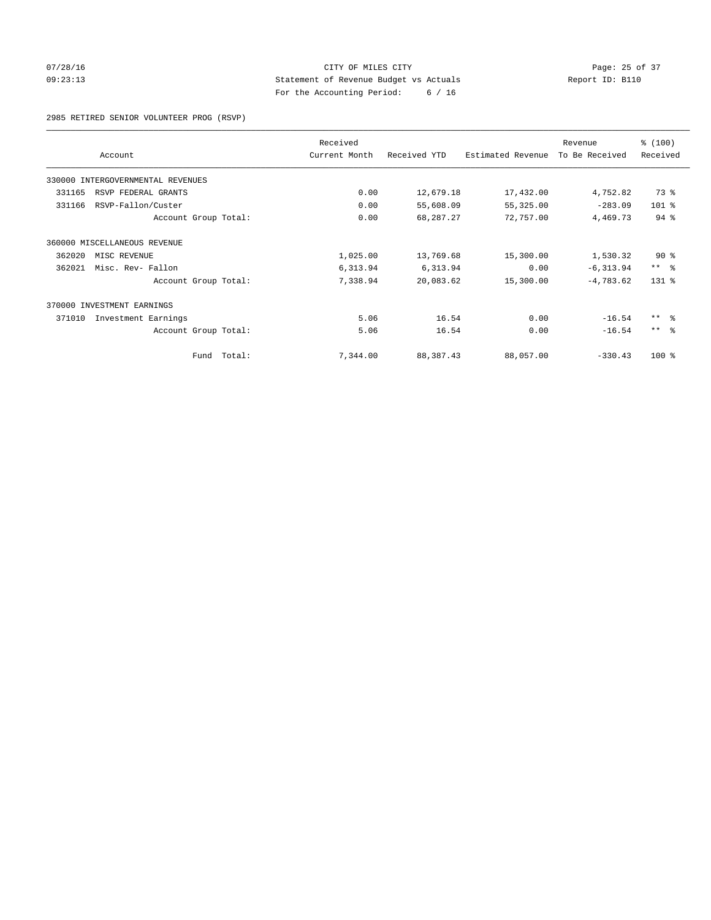## 07/28/16 Page: 25 of 37 09:23:13 Statement of Revenue Budget vs Actuals Report ID: B110 For the Accounting Period: 6 / 16

2985 RETIRED SENIOR VOLUNTEER PROG (RSVP)

|                                      |                      | Received      |              |                   | Revenue        | % (100)                 |
|--------------------------------------|----------------------|---------------|--------------|-------------------|----------------|-------------------------|
| Account                              |                      | Current Month | Received YTD | Estimated Revenue | To Be Received | Received                |
| 330000<br>INTERGOVERNMENTAL REVENUES |                      |               |              |                   |                |                         |
| 331165<br>RSVP FEDERAL GRANTS        |                      | 0.00          | 12,679.18    | 17,432.00         | 4,752.82       | 73 %                    |
| 331166<br>RSVP-Fallon/Custer         |                      | 0.00          | 55,608.09    | 55,325.00         | $-283.09$      | 101 %                   |
|                                      | Account Group Total: | 0.00          | 68,287.27    | 72,757.00         | 4,469.73       | 94.8                    |
| 360000 MISCELLANEOUS REVENUE         |                      |               |              |                   |                |                         |
| 362020<br>MISC REVENUE               |                      | 1,025.00      | 13,769.68    | 15,300.00         | 1,530.32       | $90*$                   |
| 362021<br>Misc. Rev- Fallon          |                      | 6,313.94      | 6,313.94     | 0.00              | $-6, 313.94$   | $***$ $=$ $\frac{6}{5}$ |
|                                      | Account Group Total: | 7,338.94      | 20,083.62    | 15,300.00         | $-4,783.62$    | $131$ $%$               |
| INVESTMENT EARNINGS<br>370000        |                      |               |              |                   |                |                         |
| 371010<br>Investment Earnings        |                      | 5.06          | 16.54        | 0.00              | $-16.54$       | $***$ $\frac{6}{5}$     |
|                                      | Account Group Total: | 5.06          | 16.54        | 0.00              | $-16.54$       | $***$ $=$               |
|                                      | Fund Total:          | 7,344.00      | 88,387.43    | 88,057.00         | $-330.43$      | $100*$                  |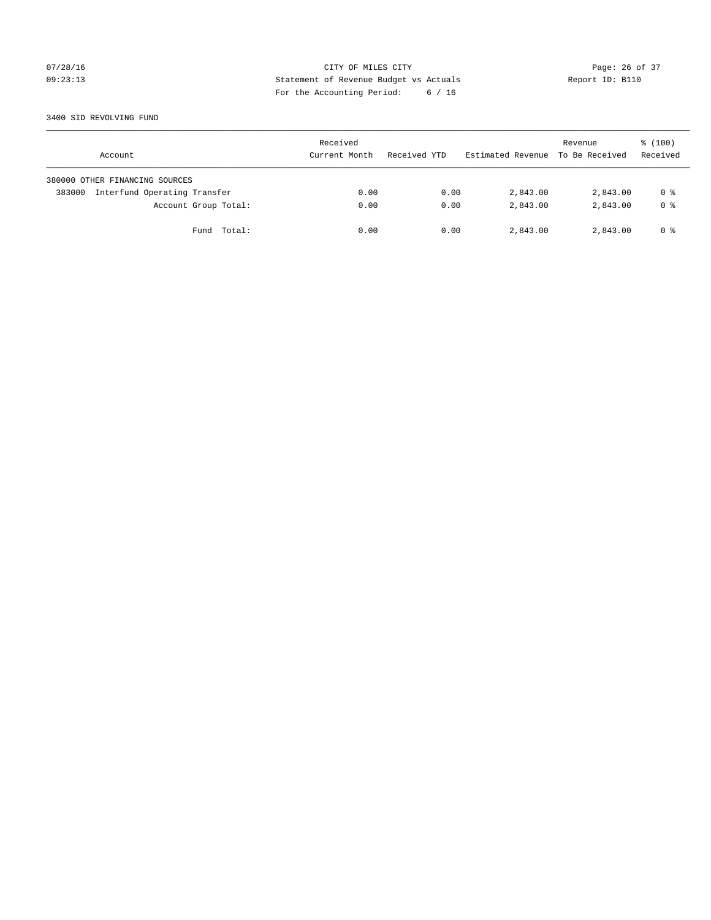## 07/28/16 Page: 26 of 37 09:23:13 Statement of Revenue Budget vs Actuals Report ID: B110 For the Accounting Period: 6 / 16

#### 3400 SID REVOLVING FUND

| Account                                | Received<br>Current Month | Received YTD | Estimated Revenue | Revenue<br>To Be Received | $\frac{100}{3}$<br>Received |
|----------------------------------------|---------------------------|--------------|-------------------|---------------------------|-----------------------------|
| 380000 OTHER FINANCING SOURCES         |                           |              |                   |                           |                             |
| Interfund Operating Transfer<br>383000 | 0.00                      | 0.00         | 2,843.00          | 2,843.00                  | 0 %                         |
| Account Group Total:                   | 0.00                      | 0.00         | 2,843.00          | 2,843.00                  | 0 <sup>8</sup>              |
| Fund Total:                            | 0.00                      | 0.00         | 2,843.00          | 2,843.00                  | 0 %                         |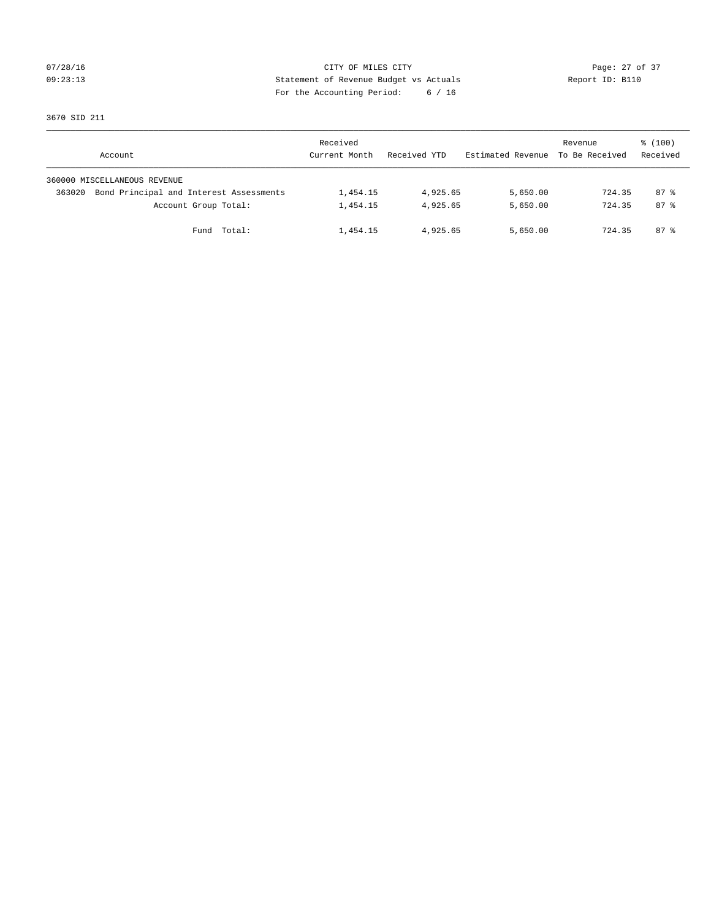## 07/28/16 Page: 27 of 37 09:23:13 Statement of Revenue Budget vs Actuals Report ID: B110 For the Accounting Period: 6 / 16

3670 SID 211

|        | Account                                 | Received<br>Current Month | Received YTD | Estimated Revenue | Revenue<br>To Be Received | $\frac{100}{3}$<br>Received |
|--------|-----------------------------------------|---------------------------|--------------|-------------------|---------------------------|-----------------------------|
|        | 360000 MISCELLANEOUS REVENUE            |                           |              |                   |                           |                             |
| 363020 | Bond Principal and Interest Assessments | 1,454.15                  | 4,925.65     | 5,650.00          | 724.35                    | 87 %                        |
|        | Account Group Total:                    | 1,454.15                  | 4,925.65     | 5,650.00          | 724.35                    | $87*$                       |
|        | Fund Total:                             | 1,454.15                  | 4,925.65     | 5,650.00          | 724.35                    | $87*$                       |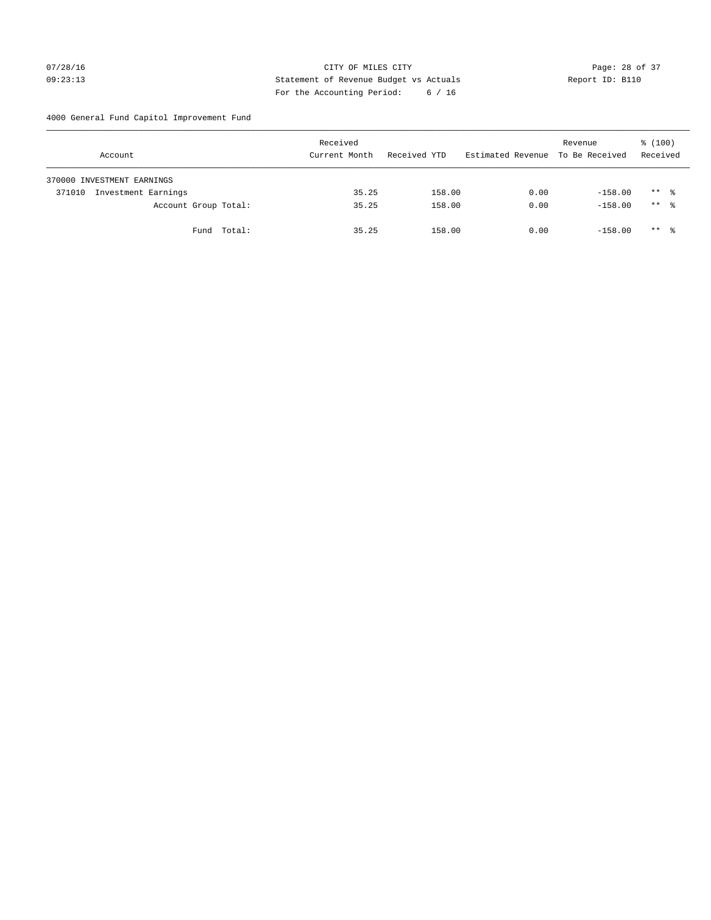## 07/28/16 Page: 28 of 37 09:23:13 Statement of Revenue Budget vs Actuals Report ID: B110 For the Accounting Period: 6 / 16

4000 General Fund Capitol Improvement Fund

| Account                       | Received<br>Current Month | Received YTD | Estimated Revenue | Revenue<br>To Be Received | $\frac{100}{3}$<br>Received |
|-------------------------------|---------------------------|--------------|-------------------|---------------------------|-----------------------------|
| 370000 INVESTMENT EARNINGS    |                           |              |                   |                           |                             |
| Investment Earnings<br>371010 | 35.25                     | 158.00       | 0.00              | $-158.00$                 | $***$ %                     |
| Account Group Total:          | 35.25                     | 158.00       | 0.00              | $-158.00$                 | $***$ %                     |
| Fund Total:                   | 35.25                     | 158.00       | 0.00              | $-158.00$                 | $***$ %                     |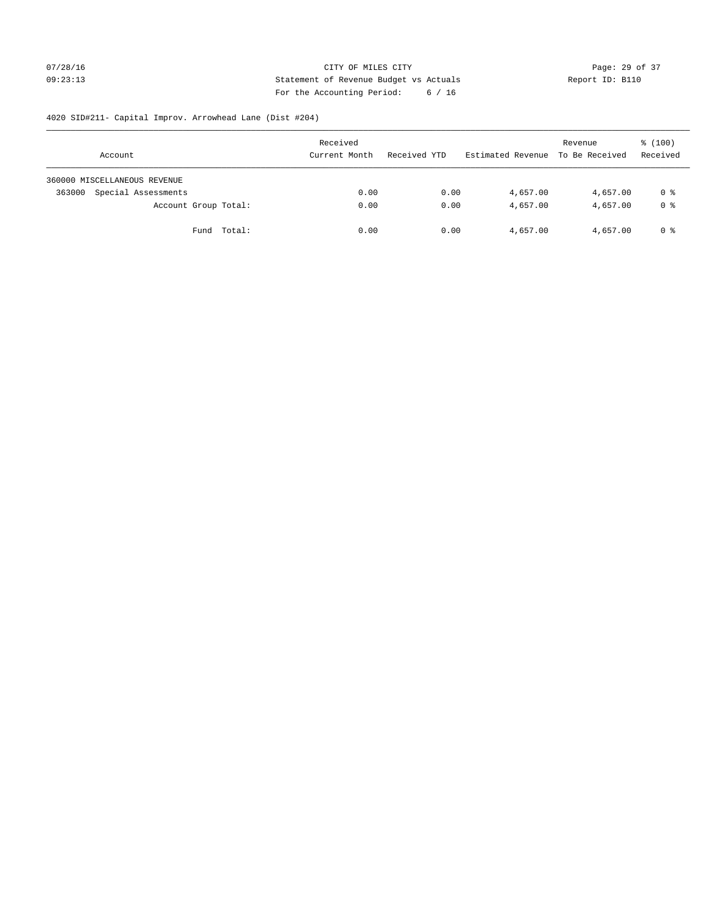## 07/28/16 Page: 29 of 37 09:23:13 Statement of Revenue Budget vs Actuals Report ID: B110 For the Accounting Period: 6 / 16

# 4020 SID#211- Capital Improv. Arrowhead Lane (Dist #204)

| Account                       | Received<br>Current Month | Received YTD | Estimated Revenue | Revenue<br>To Be Received | \$(100)<br>Received |
|-------------------------------|---------------------------|--------------|-------------------|---------------------------|---------------------|
| 360000 MISCELLANEOUS REVENUE  |                           |              |                   |                           |                     |
| Special Assessments<br>363000 | 0.00                      | 0.00         | 4,657.00          | 4,657.00                  | 0 %                 |
| Account Group Total:          | 0.00                      | 0.00         | 4,657.00          | 4,657.00                  | 0 %                 |
| Fund Total:                   | 0.00                      | 0.00         | 4,657.00          | 4,657.00                  | 0 %                 |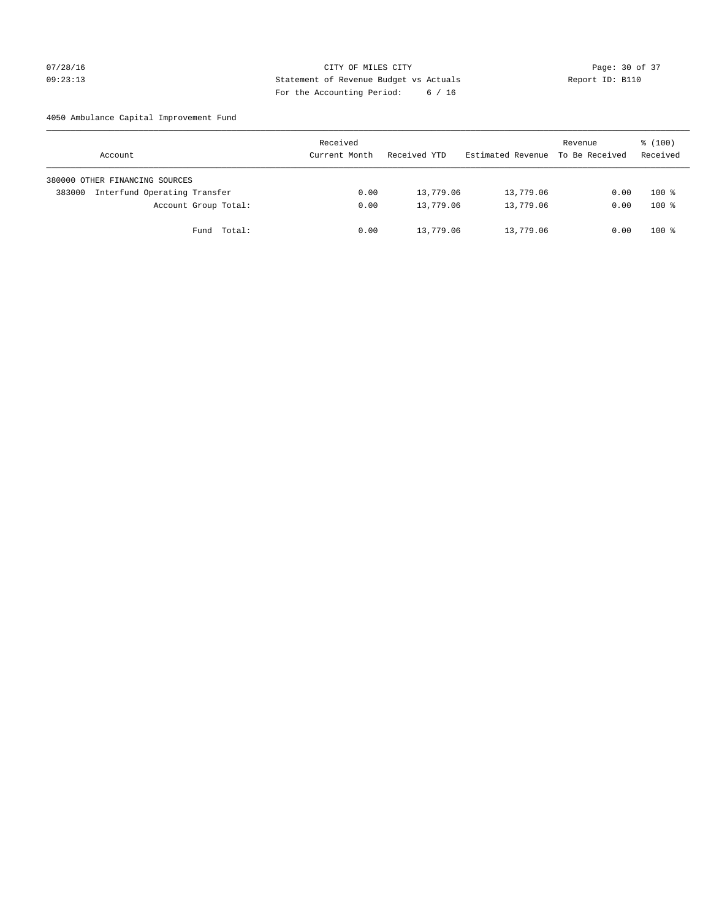## 07/28/16 Page: 30 of 37 09:23:13 Statement of Revenue Budget vs Actuals Report ID: B110 For the Accounting Period: 6 / 16

## 4050 Ambulance Capital Improvement Fund

| Account                                | Received<br>Current Month | Received YTD | Estimated Revenue | Revenue<br>To Be Received | $\frac{100}{3}$<br>Received |
|----------------------------------------|---------------------------|--------------|-------------------|---------------------------|-----------------------------|
| 380000 OTHER FINANCING SOURCES         |                           |              |                   |                           |                             |
| Interfund Operating Transfer<br>383000 | 0.00                      | 13,779.06    | 13,779.06         | 0.00                      | $100*$                      |
| Account Group Total:                   | 0.00                      | 13,779.06    | 13,779.06         | 0.00                      | $100*$                      |
| Total:<br>Fund                         | 0.00                      | 13,779.06    | 13,779.06         | 0.00                      | $100*$                      |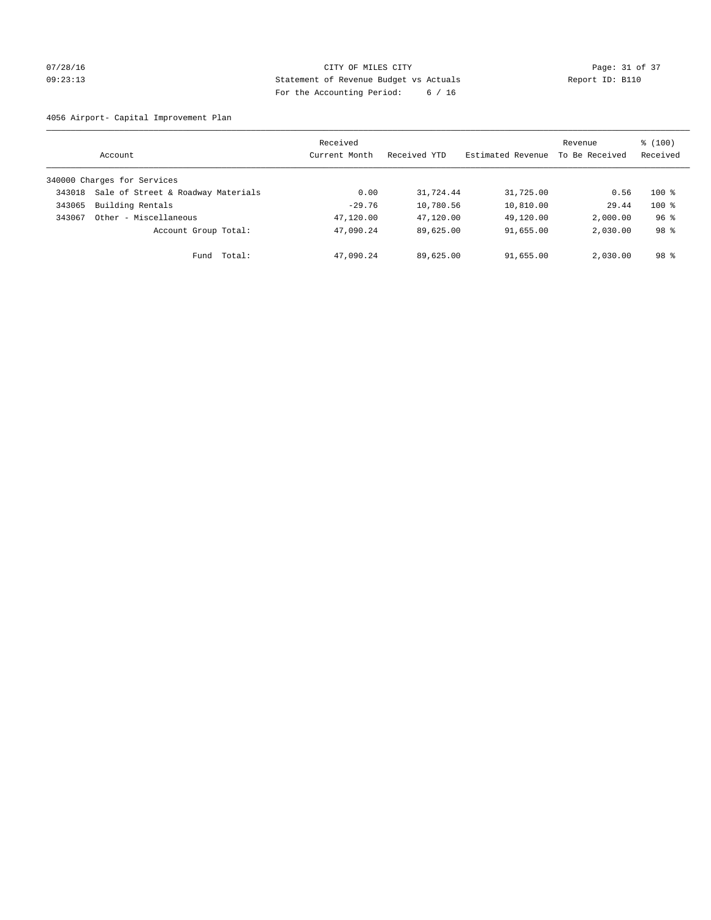## 07/28/16 Page: 31 of 37 09:23:13 Statement of Revenue Budget vs Actuals Report ID: B110 For the Accounting Period: 6 / 16

4056 Airport- Capital Improvement Plan

|        | Account                            | Received<br>Current Month | Received YTD | Estimated Revenue | Revenue<br>To Be Received | $\frac{100}{3}$<br>Received |
|--------|------------------------------------|---------------------------|--------------|-------------------|---------------------------|-----------------------------|
|        | 340000 Charges for Services        |                           |              |                   |                           |                             |
| 343018 | Sale of Street & Roadway Materials | 0.00                      | 31,724.44    | 31,725.00         | 0.56                      | $100*$                      |
| 343065 | Building Rentals                   | $-29.76$                  | 10,780.56    | 10,810.00         | 29.44                     | $100*$                      |
| 343067 | Other - Miscellaneous              | 47,120.00                 | 47,120.00    | 49,120.00         | 2,000.00                  | 96 <sup>°</sup>             |
|        | Account Group Total:               | 47,090.24                 | 89,625.00    | 91,655.00         | 2,030.00                  | 98 <sup>8</sup>             |
|        | Fund Total:                        | 47,090.24                 | 89,625.00    | 91,655.00         | 2,030.00                  | $98$ $\frac{6}{3}$          |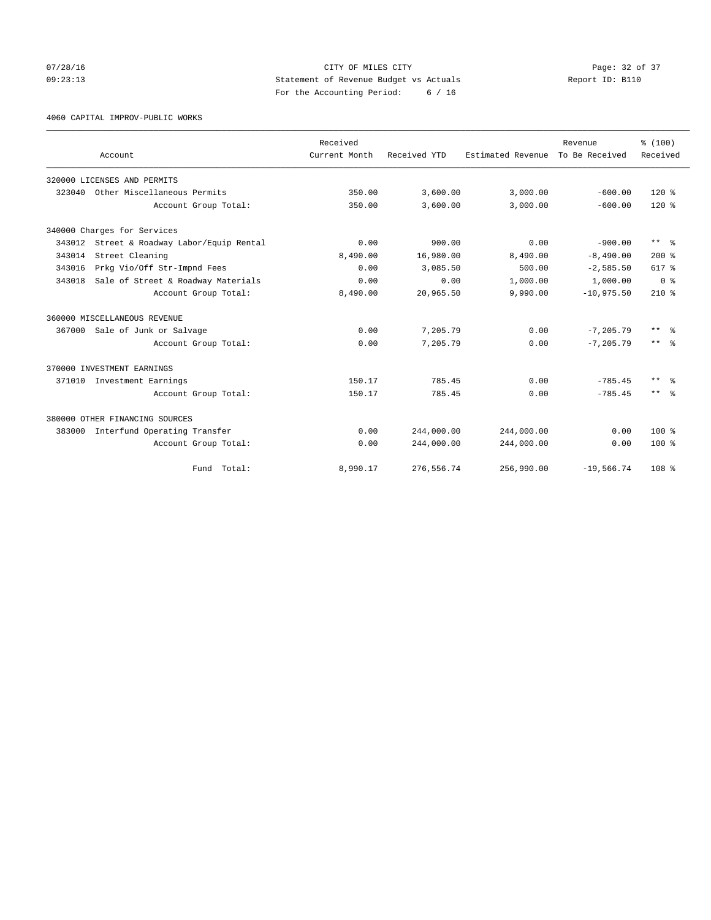## 07/28/16 Page: 32 of 37 09:23:13 Statement of Revenue Budget vs Actuals Report ID: B110 For the Accounting Period: 6 / 16

4060 CAPITAL IMPROV-PUBLIC WORKS

|        | Account                             |                      | Received<br>Current Month | Received YTD | Estimated Revenue | Revenue<br>To Be Received | % (100)<br>Received     |
|--------|-------------------------------------|----------------------|---------------------------|--------------|-------------------|---------------------------|-------------------------|
|        | 320000 LICENSES AND PERMITS         |                      |                           |              |                   |                           |                         |
| 323040 | Other Miscellaneous Permits         |                      | 350.00                    | 3,600.00     | 3,000.00          | $-600.00$                 | $120*$                  |
|        |                                     | Account Group Total: | 350.00                    | 3,600.00     | 3,000.00          | $-600.00$                 | $120*$                  |
|        | 340000 Charges for Services         |                      |                           |              |                   |                           |                         |
| 343012 | Street & Roadway Labor/Equip Rental |                      | 0.00                      | 900.00       | 0.00              | $-900.00$                 | $***$ $\frac{6}{5}$     |
| 343014 | Street Cleaning                     |                      | 8,490.00                  | 16,980.00    | 8,490.00          | $-8,490.00$               | $200*$                  |
| 343016 | Prkg Vio/Off Str-Impnd Fees         |                      | 0.00                      | 3,085.50     | 500.00            | $-2,585.50$               | 617 %                   |
| 343018 | Sale of Street & Roadway Materials  |                      | 0.00                      | 0.00         | 1,000.00          | 1,000.00                  | 0 <sup>8</sup>          |
|        |                                     | Account Group Total: | 8,490.00                  | 20,965.50    | 9,990.00          | $-10.975.50$              | $210*$                  |
|        | 360000 MISCELLANEOUS REVENUE        |                      |                           |              |                   |                           |                         |
|        | 367000 Sale of Junk or Salvage      |                      | 0.00                      | 7,205.79     | 0.00              | $-7.205.79$               | $***$ $=$ $\frac{6}{5}$ |
|        |                                     | Account Group Total: | 0.00                      | 7,205.79     | 0.00              | $-7.205.79$               | $***$ $=$ $\frac{6}{5}$ |
|        | 370000 INVESTMENT EARNINGS          |                      |                           |              |                   |                           |                         |
| 371010 | Investment Earnings                 |                      | 150.17                    | 785.45       | 0.00              | $-785.45$                 | ** *                    |
|        |                                     | Account Group Total: | 150.17                    | 785.45       | 0.00              | $-785.45$                 | $***$ $ -$              |
|        | 380000 OTHER FINANCING SOURCES      |                      |                           |              |                   |                           |                         |
| 383000 | Interfund Operating Transfer        |                      | 0.00                      | 244,000.00   | 244,000.00        | 0.00                      | $100*$                  |
|        |                                     | Account Group Total: | 0.00                      | 244,000.00   | 244,000.00        | 0.00                      | $100*$                  |
|        |                                     | Fund Total:          | 8,990.17                  | 276,556.74   | 256,990.00        | $-19,566.74$              | 108 %                   |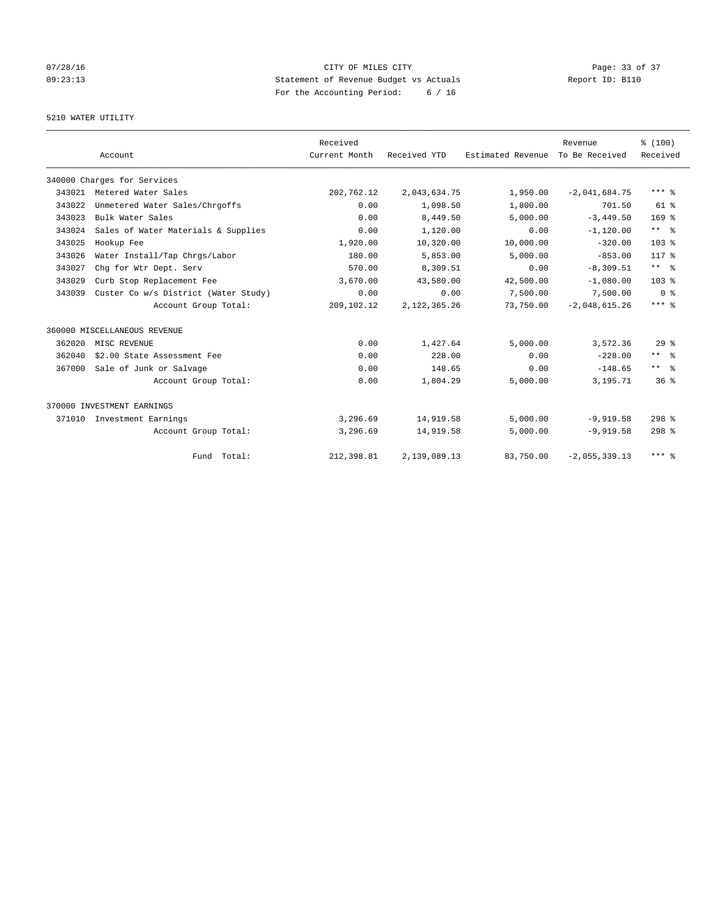## 07/28/16 Page: 33 of 37 09:23:13 Statement of Revenue Budget vs Actuals Report ID: B110 For the Accounting Period: 6 / 16

## 5210 WATER UTILITY

|        |                                      | Received      |                |                   | Revenue         | % (100)          |
|--------|--------------------------------------|---------------|----------------|-------------------|-----------------|------------------|
|        | Account                              | Current Month | Received YTD   | Estimated Revenue | To Be Received  | Received         |
|        | 340000 Charges for Services          |               |                |                   |                 |                  |
| 343021 | Metered Water Sales                  | 202,762.12    | 2,043,634.75   | 1,950.00          | $-2,041,684.75$ | $***$ $%$        |
| 343022 | Unmetered Water Sales/Chrgoffs       | 0.00          | 1,098.50       | 1,800.00          | 701.50          | $61$ $%$         |
| 343023 | Bulk Water Sales                     | 0.00          | 8,449.50       | 5,000.00          | $-3.449.50$     | 169 <sup>°</sup> |
| 343024 | Sales of Water Materials & Supplies  | 0.00          | 1,120.00       | 0.00              | $-1, 120.00$    | $***$ $%$        |
| 343025 | Hookup Fee                           | 1,920.00      | 10,320.00      | 10,000.00         | $-320.00$       | 103 <sub>8</sub> |
| 343026 | Water Install/Tap Chrgs/Labor        | 180.00        | 5,853.00       | 5,000.00          | $-853.00$       | $117*$           |
| 343027 | Chg for Wtr Dept. Serv               | 570.00        | 8,309.51       | 0.00              | $-8, 309.51$    | $***$ $ -$       |
| 343029 | Curb Stop Replacement Fee            | 3,670.00      | 43,580.00      | 42,500.00         | $-1,080.00$     | 103 <sub>8</sub> |
| 343039 | Custer Co w/s District (Water Study) | 0.00          | 0.00           | 7,500.00          | 7,500.00        | 0 <sup>8</sup>   |
|        | Account Group Total:                 | 209,102.12    | 2, 122, 365.26 | 73,750.00         | $-2,048,615.26$ | $***$ $%$        |
|        | 360000 MISCELLANEOUS REVENUE         |               |                |                   |                 |                  |
| 362020 | MISC REVENUE                         | 0.00          | 1,427.64       | 5.000.00          | 3,572.36        | 29 <sup>8</sup>  |
| 362040 | \$2.00 State Assessment Fee          | 0.00          | 228.00         | 0.00              | $-228.00$       | $***$ $ -$       |
| 367000 | Sale of Junk or Salvage              | 0.00          | 148.65         | 0.00              | $-148.65$       | $***$ $%$        |
|        | Account Group Total:                 | 0.00          | 1,804.29       | 5,000.00          | 3,195.71        | $36*$            |
|        | 370000 INVESTMENT EARNINGS           |               |                |                   |                 |                  |
|        | 371010 Investment Earnings           | 3,296.69      | 14,919.58      | 5,000.00          | $-9.919.58$     | $298$ %          |
|        | Account Group Total:                 | 3,296.69      | 14,919.58      | 5,000.00          | $-9,919.58$     | $298$ %          |
|        | Fund Total:                          | 212,398.81    | 2,139,089.13   | 83,750.00         | $-2,055,339.13$ | $***$ %          |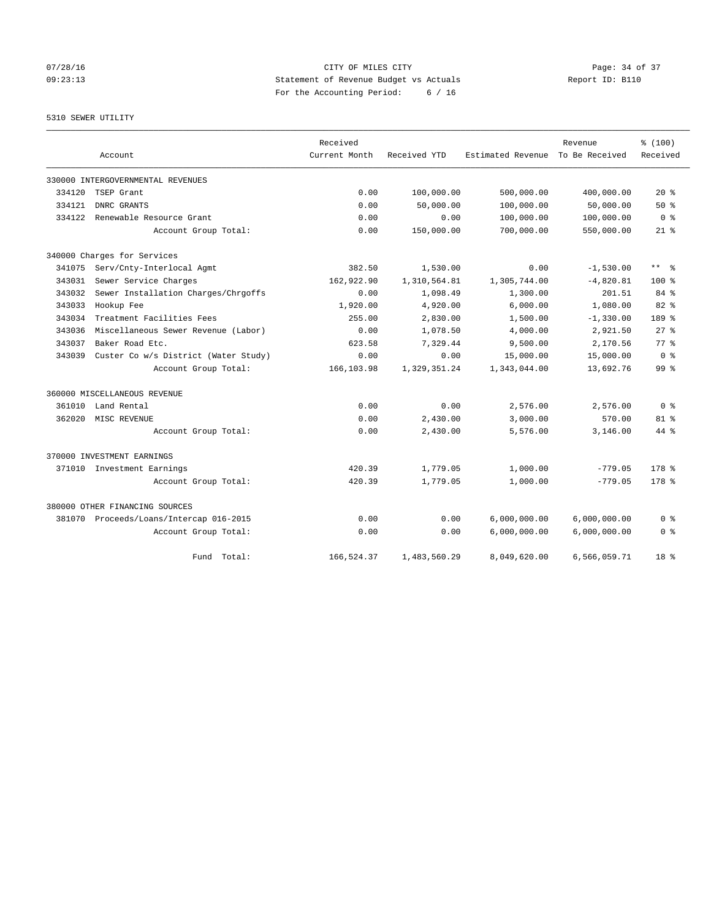## 07/28/16 Page: 34 of 37 09:23:13 Statement of Revenue Budget vs Actuals Report ID: B110 For the Accounting Period: 6 / 16

5310 SEWER UTILITY

|        |                                         | Received      |              |                   | Revenue        | % (100)         |
|--------|-----------------------------------------|---------------|--------------|-------------------|----------------|-----------------|
|        | Account                                 | Current Month | Received YTD | Estimated Revenue | To Be Received | Received        |
|        | 330000 INTERGOVERNMENTAL REVENUES       |               |              |                   |                |                 |
| 334120 | TSEP Grant                              | 0.00          | 100,000.00   | 500,000.00        | 400,000.00     | $20*$           |
| 334121 | DNRC GRANTS                             | 0.00          | 50,000.00    | 100,000.00        | 50,000.00      | $50*$           |
| 334122 | Renewable Resource Grant                | 0.00          | 0.00         | 100,000.00        | 100,000.00     | 0 <sup>8</sup>  |
|        | Account Group Total:                    | 0.00          | 150,000.00   | 700,000.00        | 550,000.00     | $21$ %          |
|        | 340000 Charges for Services             |               |              |                   |                |                 |
|        | 341075 Serv/Cnty-Interlocal Agmt        | 382.50        | 1,530.00     | 0.00              | $-1,530.00$    | $***$ $ -$      |
| 343031 | Sewer Service Charges                   | 162,922.90    | 1,310,564.81 | 1,305,744.00      | $-4,820.81$    | $100*$          |
| 343032 | Sewer Installation Charges/Chrgoffs     | 0.00          | 1,098.49     | 1,300.00          | 201.51         | 84 %            |
| 343033 | Hookup Fee                              | 1,920.00      | 4,920.00     | 6,000.00          | 1,080.00       | $82$ %          |
| 343034 | Treatment Facilities Fees               | 255.00        | 2,830.00     | 1,500.00          | $-1, 330.00$   | 189 %           |
| 343036 | Miscellaneous Sewer Revenue (Labor)     | 0.00          | 1,078.50     | 4,000.00          | 2,921.50       | $27$ $%$        |
| 343037 | Baker Road Etc.                         | 623.58        | 7,329.44     | 9,500.00          | 2,170.56       | 77.8            |
| 343039 | Custer Co w/s District (Water Study)    | 0.00          | 0.00         | 15,000.00         | 15,000.00      | 0 <sup>8</sup>  |
|        | Account Group Total:                    | 166,103.98    | 1,329,351.24 | 1,343,044.00      | 13,692.76      | 99 <sup>8</sup> |
|        | 360000 MISCELLANEOUS REVENUE            |               |              |                   |                |                 |
| 361010 | Land Rental                             | 0.00          | 0.00         | 2,576.00          | 2,576.00       | 0 <sup>8</sup>  |
| 362020 | MISC REVENUE                            | 0.00          | 2,430.00     | 3,000.00          | 570.00         | $81$ %          |
|        | Account Group Total:                    | 0.00          | 2.430.00     | 5,576.00          | 3,146.00       | $44*$           |
|        | 370000 INVESTMENT EARNINGS              |               |              |                   |                |                 |
|        | 371010 Investment Earnings              | 420.39        | 1,779.05     | 1,000.00          | $-779.05$      | $178$ $%$       |
|        | Account Group Total:                    | 420.39        | 1,779.05     | 1,000.00          | $-779.05$      | $178$ %         |
|        | 380000 OTHER FINANCING SOURCES          |               |              |                   |                |                 |
|        | 381070 Proceeds/Loans/Intercap 016-2015 | 0.00          | 0.00         | 6,000,000.00      | 6,000,000.00   | 0 %             |
|        | Account Group Total:                    | 0.00          | 0.00         | 6,000,000.00      | 6,000,000.00   | 0 <sup>8</sup>  |
|        | Fund Total:                             | 166,524.37    | 1,483,560.29 | 8,049,620.00      | 6,566,059.71   | 18 %            |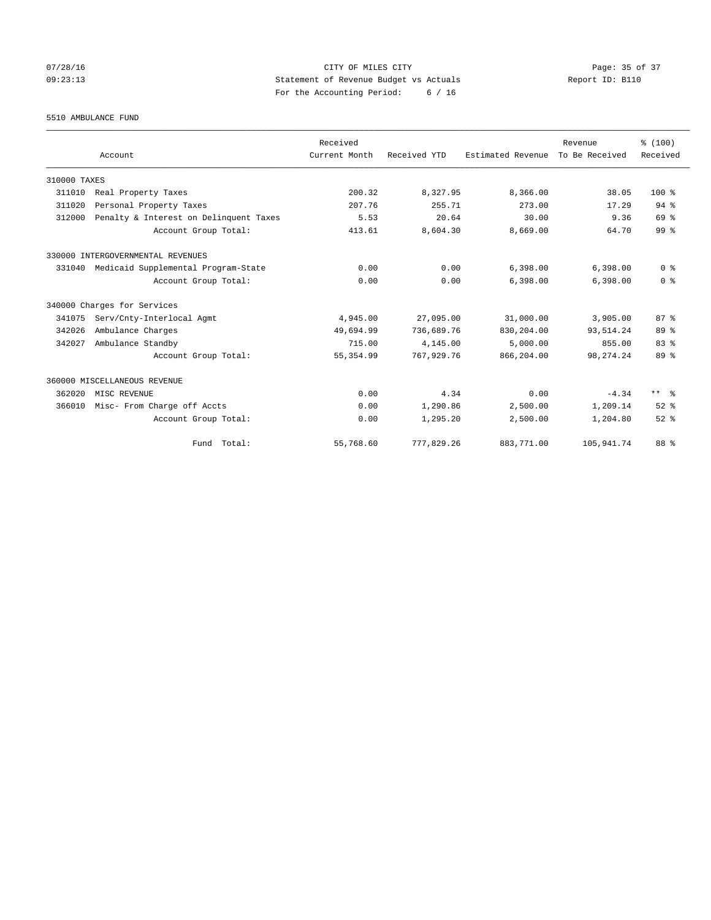## 07/28/16 Page: 35 of 37 09:23:13 Statement of Revenue Budget vs Actuals Report ID: B110 For the Accounting Period: 6 / 16

#### 5510 AMBULANCE FUND

|              |                                        | Received      |              |                   | Revenue        | % (100)                 |
|--------------|----------------------------------------|---------------|--------------|-------------------|----------------|-------------------------|
|              | Account                                | Current Month | Received YTD | Estimated Revenue | To Be Received | Received                |
| 310000 TAXES |                                        |               |              |                   |                |                         |
| 311010       | Real Property Taxes                    | 200.32        | 8,327.95     | 8,366.00          | 38.05          | $100*$                  |
| 311020       | Personal Property Taxes                | 207.76        | 255.71       | 273.00            | 17.29          | 94.8                    |
| 312000       | Penalty & Interest on Delinquent Taxes | 5.53          | 20.64        | 30.00             | 9.36           | 69 %                    |
|              | Account Group Total:                   | 413.61        | 8,604.30     | 8,669.00          | 64.70          | 99 <sup>8</sup>         |
|              | 330000 INTERGOVERNMENTAL REVENUES      |               |              |                   |                |                         |
| 331040       | Medicaid Supplemental Program-State    | 0.00          | 0.00         | 6,398.00          | 6,398.00       | 0 <sup>8</sup>          |
|              | Account Group Total:                   | 0.00          | 0.00         | 6,398.00          | 6,398.00       | 0 <sup>8</sup>          |
|              | 340000 Charges for Services            |               |              |                   |                |                         |
| 341075       | Serv/Cnty-Interlocal Agmt              | 4,945.00      | 27,095.00    | 31,000.00         | 3,905.00       | 87%                     |
| 342026       | Ambulance Charges                      | 49,694.99     | 736,689.76   | 830,204.00        | 93,514.24      | 89 %                    |
| 342027       | Ambulance Standby                      | 715.00        | 4,145.00     | 5,000.00          | 855.00         | 83%                     |
|              | Account Group Total:                   | 55, 354.99    | 767, 929. 76 | 866,204.00        | 98, 274. 24    | 89 %                    |
|              | 360000 MISCELLANEOUS REVENUE           |               |              |                   |                |                         |
| 362020       | MISC REVENUE                           | 0.00          | 4.34         | 0.00              | $-4.34$        | $***$ $=$ $\frac{6}{5}$ |
| 366010       | Misc- From Charge off Accts            | 0.00          | 1,290.86     | 2,500.00          | 1,209.14       | $52$ $%$                |
|              | Account Group Total:                   | 0.00          | 1,295.20     | 2,500.00          | 1,204.80       | $52$ $%$                |
|              | Fund Total:                            | 55,768.60     | 777,829.26   | 883,771.00        | 105,941.74     | 88 %                    |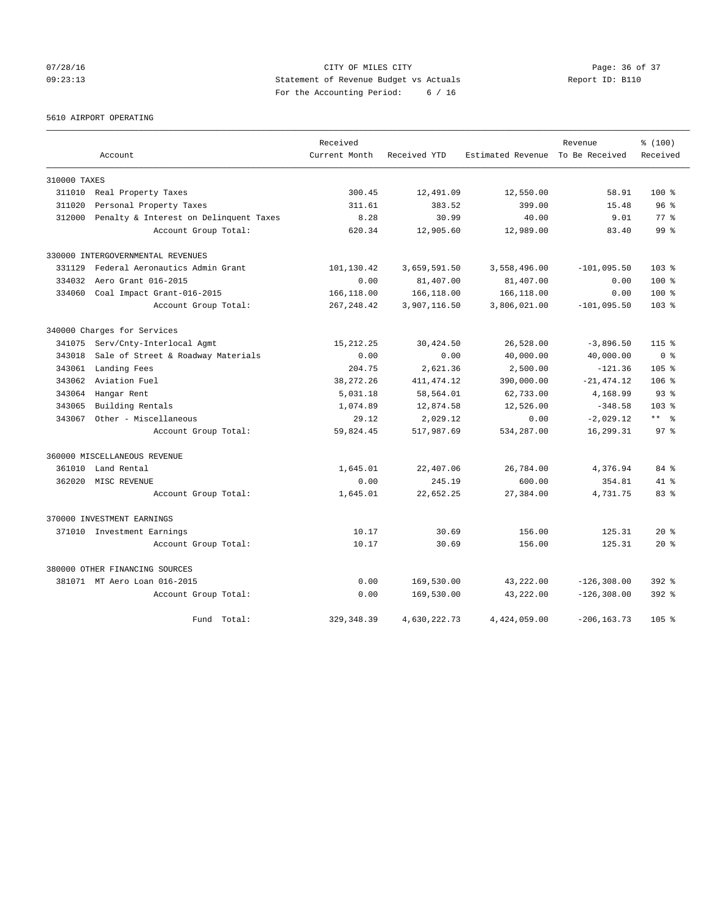## 07/28/16 Page: 36 of 37 09:23:13 Statement of Revenue Budget vs Actuals Report ID: B110 For the Accounting Period: 6 / 16

5610 AIRPORT OPERATING

|              |                                        | Received      |              |                                  | Revenue        | % (100)          |
|--------------|----------------------------------------|---------------|--------------|----------------------------------|----------------|------------------|
|              | Account                                | Current Month | Received YTD | Estimated Revenue To Be Received |                | Received         |
| 310000 TAXES |                                        |               |              |                                  |                |                  |
| 311010       | Real Property Taxes                    | 300.45        | 12,491.09    | 12,550.00                        | 58.91          | $100*$           |
| 311020       | Personal Property Taxes                | 311.61        | 383.52       | 399.00                           | 15.48          | 96 <sup>°</sup>  |
| 312000       | Penalty & Interest on Delinquent Taxes | 8.28          | 30.99        | 40.00                            | 9.01           | 77.8             |
|              | Account Group Total:                   | 620.34        | 12,905.60    | 12,989.00                        | 83.40          | 99 <sup>8</sup>  |
|              | 330000 INTERGOVERNMENTAL REVENUES      |               |              |                                  |                |                  |
| 331129       | Federal Aeronautics Admin Grant        | 101,130.42    | 3,659,591.50 | 3,558,496.00                     | $-101,095.50$  | 103 <sub>8</sub> |
| 334032       | Aero Grant 016-2015                    | 0.00          | 81,407.00    | 81,407.00                        | 0.00           | $100$ %          |
| 334060       | Coal Impact Grant-016-2015             | 166,118.00    | 166,118.00   | 166,118.00                       | 0.00           | $100$ %          |
|              | Account Group Total:                   | 267, 248.42   | 3,907,116.50 | 3,806,021.00                     | $-101,095.50$  | $103*$           |
|              | 340000 Charges for Services            |               |              |                                  |                |                  |
| 341075       | Serv/Cnty-Interlocal Agmt              | 15, 212. 25   | 30,424.50    | 26,528.00                        | $-3,896.50$    | $115$ $%$        |
| 343018       | Sale of Street & Roadway Materials     | 0.00          | 0.00         | 40,000.00                        | 40,000.00      | 0 <sup>8</sup>   |
| 343061       | Landing Fees                           | 204.75        | 2,621.36     | 2,500.00                         | $-121.36$      | 105 <sub>8</sub> |
| 343062       | Aviation Fuel                          | 38, 272. 26   | 411, 474.12  | 390,000.00                       | $-21, 474.12$  | $106$ %          |
| 343064       | Hangar Rent                            | 5,031.18      | 58,564.01    | 62,733.00                        | 4,168.99       | $93*$            |
| 343065       | Building Rentals                       | 1,074.89      | 12,874.58    | 12,526.00                        | $-348.58$      | 103 <sub>8</sub> |
| 343067       | Other - Miscellaneous                  | 29.12         | 2,029.12     | 0.00                             | $-2,029.12$    | $***$ $ -$       |
|              | Account Group Total:                   | 59,824.45     | 517,987.69   | 534,287.00                       | 16,299.31      | 97 <sup>8</sup>  |
|              | 360000 MISCELLANEOUS REVENUE           |               |              |                                  |                |                  |
| 361010       | Land Rental                            | 1,645.01      | 22,407.06    | 26,784.00                        | 4,376.94       | 84 %             |
| 362020       | MISC REVENUE                           | 0.00          | 245.19       | 600.00                           | 354.81         | $41*$            |
|              | Account Group Total:                   | 1,645.01      | 22,652.25    | 27,384.00                        | 4,731.75       | 83%              |
|              | 370000 INVESTMENT EARNINGS             |               |              |                                  |                |                  |
|              | 371010 Investment Earnings             | 10.17         | 30.69        | 156.00                           | 125.31         | $20*$            |
|              | Account Group Total:                   | 10.17         | 30.69        | 156.00                           | 125.31         | $20*$            |
|              | 380000 OTHER FINANCING SOURCES         |               |              |                                  |                |                  |
|              | 381071 MT Aero Loan 016-2015           | 0.00          | 169,530.00   | 43,222.00                        | $-126, 308.00$ | $392$ $%$        |
|              | Account Group Total:                   | 0.00          | 169,530.00   | 43,222.00                        | $-126, 308.00$ | $392$ $%$        |
|              | Fund Total:                            | 329, 348.39   | 4,630,222.73 | 4,424,059.00                     | $-206, 163.73$ | 105 %            |